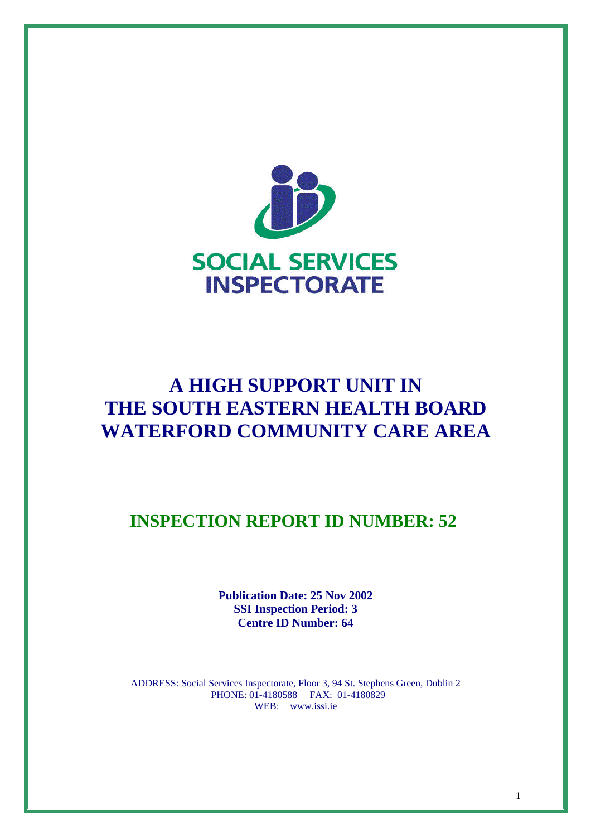

# **A HIGH SUPPORT UNIT IN THE SOUTH EASTERN HEALTH BOARD WATERFORD COMMUNITY CARE AREA**

**INSPECTION REPORT ID NUMBER: 52** 

**Publication Date: 25 Nov 2002 SSI Inspection Period: 3 Centre ID Number: 64**

ADDRESS: Social Services Inspectorate, Floor 3, 94 St. Stephens Green, Dublin 2 PHONE: 01-4180588 FAX: 01-4180829 WEB: www.issi.ie

1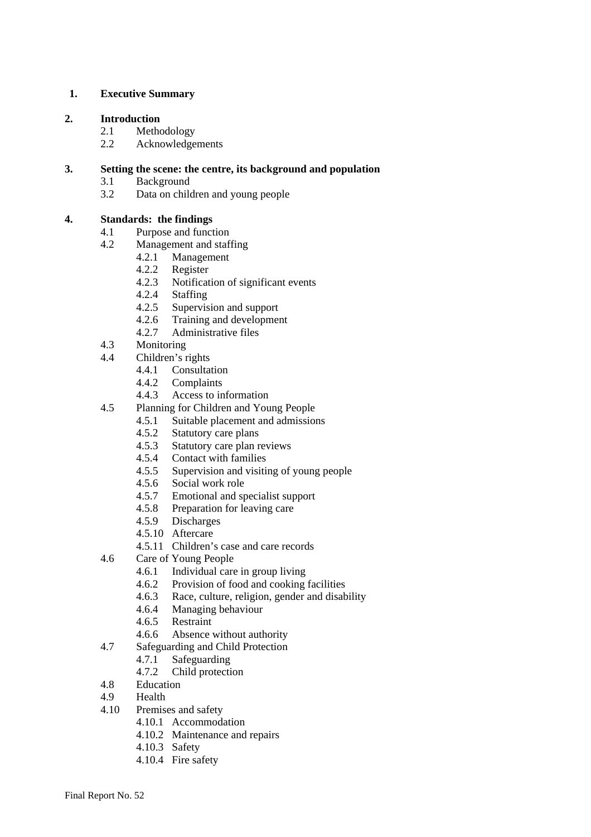#### **1. Executive Summary**

#### **2. Introduction**

- 2.1 Methodology
- 2.2 Acknowledgements

#### **3. Setting the scene: the centre, its background and population**

- 3.1 Background
- 3.2 Data on children and young people

#### **4. Standards: the findings**

- 4.1 Purpose and function
- 4.2 Management and staffing
	- 4.2.1 Management
	- 4.2.2 Register
	- 4.2.3 Notification of significant events
	- 4.2.4 Staffing
	- 4.2.5 Supervision and support
	- 4.2.6 Training and development
	- 4.2.7 Administrative files
- 4.3 Monitoring
- 4.4 Children's rights
	- 4.4.1 Consultation
	- 4.4.2 Complaints
	- 4.4.3 Access to information
- 4.5 Planning for Children and Young People
	- 4.5.1 Suitable placement and admissions
	- 4.5.2 Statutory care plans
	- 4.5.3 Statutory care plan reviews
	- 4.5.4 Contact with families
	- 4.5.5 Supervision and visiting of young people
	- 4.5.6 Social work role<br>4.5.7 Emotional and sr
	- 4.5.7 Emotional and specialist support
	- 4.5.8 Preparation for leaving care
	- 4.5.9 Discharges
	- 4.5.10 Aftercare
	- 4.5.11 Children's case and care records
- 4.6 Care of Young People
	- 4.6.1 Individual care in group living
	- 4.6.2 Provision of food and cooking facilities
	- 4.6.3 Race, culture, religion, gender and disability
	- 4.6.4 Managing behaviour
	- 4.6.5 Restraint
	- 4.6.6 Absence without authority
- 4.7 Safeguarding and Child Protection
	- 4.7.1 Safeguarding
	- 4.7.2 Child protection
- 4.8 Education
- 4.9 Health
- 4.10 Premises and safety
	- 4.10.1 Accommodation
	- 4.10.2 Maintenance and repairs
	- 4.10.3 Safety
	- 4.10.4 Fire safety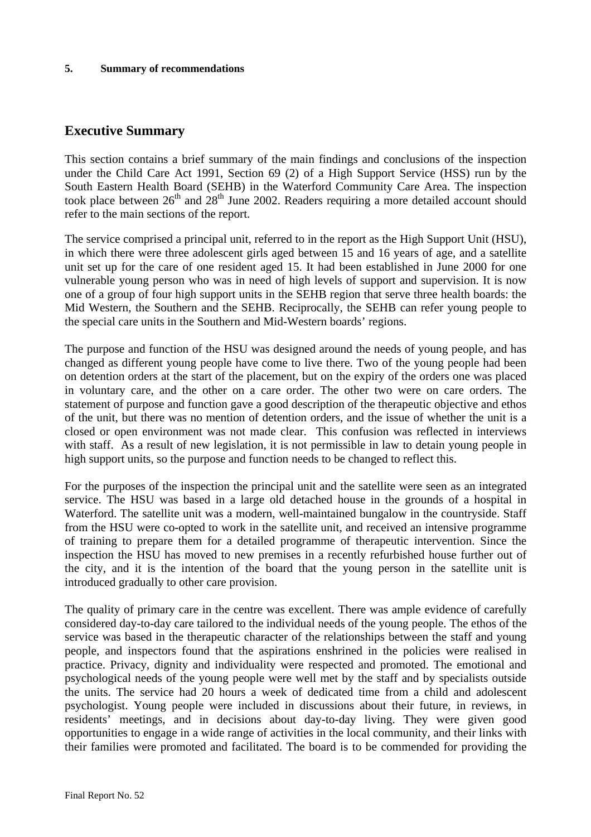#### **5. Summary of recommendations**

# **Executive Summary**

This section contains a brief summary of the main findings and conclusions of the inspection under the Child Care Act 1991, Section 69 (2) of a High Support Service (HSS) run by the South Eastern Health Board (SEHB) in the Waterford Community Care Area. The inspection took place between  $26<sup>th</sup>$  and  $28<sup>th</sup>$  June 2002. Readers requiring a more detailed account should refer to the main sections of the report.

The service comprised a principal unit, referred to in the report as the High Support Unit (HSU), in which there were three adolescent girls aged between 15 and 16 years of age, and a satellite unit set up for the care of one resident aged 15. It had been established in June 2000 for one vulnerable young person who was in need of high levels of support and supervision. It is now one of a group of four high support units in the SEHB region that serve three health boards: the Mid Western, the Southern and the SEHB. Reciprocally, the SEHB can refer young people to the special care units in the Southern and Mid-Western boards' regions.

The purpose and function of the HSU was designed around the needs of young people, and has changed as different young people have come to live there. Two of the young people had been on detention orders at the start of the placement, but on the expiry of the orders one was placed in voluntary care, and the other on a care order. The other two were on care orders. The statement of purpose and function gave a good description of the therapeutic objective and ethos of the unit, but there was no mention of detention orders, and the issue of whether the unit is a closed or open environment was not made clear. This confusion was reflected in interviews with staff. As a result of new legislation, it is not permissible in law to detain young people in high support units, so the purpose and function needs to be changed to reflect this.

For the purposes of the inspection the principal unit and the satellite were seen as an integrated service. The HSU was based in a large old detached house in the grounds of a hospital in Waterford. The satellite unit was a modern, well-maintained bungalow in the countryside. Staff from the HSU were co-opted to work in the satellite unit, and received an intensive programme of training to prepare them for a detailed programme of therapeutic intervention. Since the inspection the HSU has moved to new premises in a recently refurbished house further out of the city, and it is the intention of the board that the young person in the satellite unit is introduced gradually to other care provision.

The quality of primary care in the centre was excellent. There was ample evidence of carefully considered day-to-day care tailored to the individual needs of the young people. The ethos of the service was based in the therapeutic character of the relationships between the staff and young people, and inspectors found that the aspirations enshrined in the policies were realised in practice. Privacy, dignity and individuality were respected and promoted. The emotional and psychological needs of the young people were well met by the staff and by specialists outside the units. The service had 20 hours a week of dedicated time from a child and adolescent psychologist. Young people were included in discussions about their future, in reviews, in residents' meetings, and in decisions about day-to-day living. They were given good opportunities to engage in a wide range of activities in the local community, and their links with their families were promoted and facilitated. The board is to be commended for providing the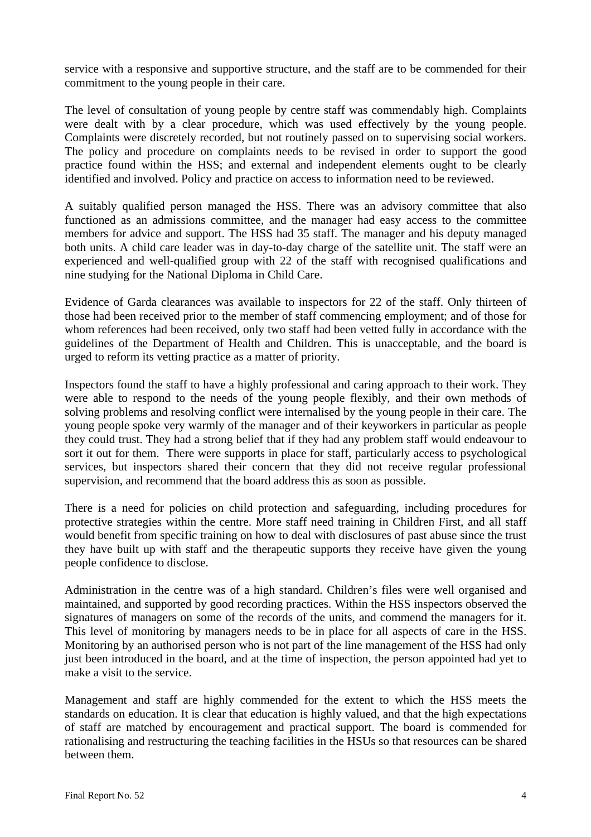service with a responsive and supportive structure, and the staff are to be commended for their commitment to the young people in their care.

The level of consultation of young people by centre staff was commendably high. Complaints were dealt with by a clear procedure, which was used effectively by the young people. Complaints were discretely recorded, but not routinely passed on to supervising social workers. The policy and procedure on complaints needs to be revised in order to support the good practice found within the HSS; and external and independent elements ought to be clearly identified and involved. Policy and practice on access to information need to be reviewed.

A suitably qualified person managed the HSS. There was an advisory committee that also functioned as an admissions committee, and the manager had easy access to the committee members for advice and support. The HSS had 35 staff. The manager and his deputy managed both units. A child care leader was in day-to-day charge of the satellite unit. The staff were an experienced and well-qualified group with 22 of the staff with recognised qualifications and nine studying for the National Diploma in Child Care.

Evidence of Garda clearances was available to inspectors for 22 of the staff. Only thirteen of those had been received prior to the member of staff commencing employment; and of those for whom references had been received, only two staff had been vetted fully in accordance with the guidelines of the Department of Health and Children. This is unacceptable, and the board is urged to reform its vetting practice as a matter of priority.

Inspectors found the staff to have a highly professional and caring approach to their work. They were able to respond to the needs of the young people flexibly, and their own methods of solving problems and resolving conflict were internalised by the young people in their care. The young people spoke very warmly of the manager and of their keyworkers in particular as people they could trust. They had a strong belief that if they had any problem staff would endeavour to sort it out for them. There were supports in place for staff, particularly access to psychological services, but inspectors shared their concern that they did not receive regular professional supervision, and recommend that the board address this as soon as possible.

There is a need for policies on child protection and safeguarding, including procedures for protective strategies within the centre. More staff need training in Children First, and all staff would benefit from specific training on how to deal with disclosures of past abuse since the trust they have built up with staff and the therapeutic supports they receive have given the young people confidence to disclose.

Administration in the centre was of a high standard. Children's files were well organised and maintained, and supported by good recording practices. Within the HSS inspectors observed the signatures of managers on some of the records of the units, and commend the managers for it. This level of monitoring by managers needs to be in place for all aspects of care in the HSS. Monitoring by an authorised person who is not part of the line management of the HSS had only just been introduced in the board, and at the time of inspection, the person appointed had yet to make a visit to the service.

Management and staff are highly commended for the extent to which the HSS meets the standards on education. It is clear that education is highly valued, and that the high expectations of staff are matched by encouragement and practical support. The board is commended for rationalising and restructuring the teaching facilities in the HSUs so that resources can be shared between them.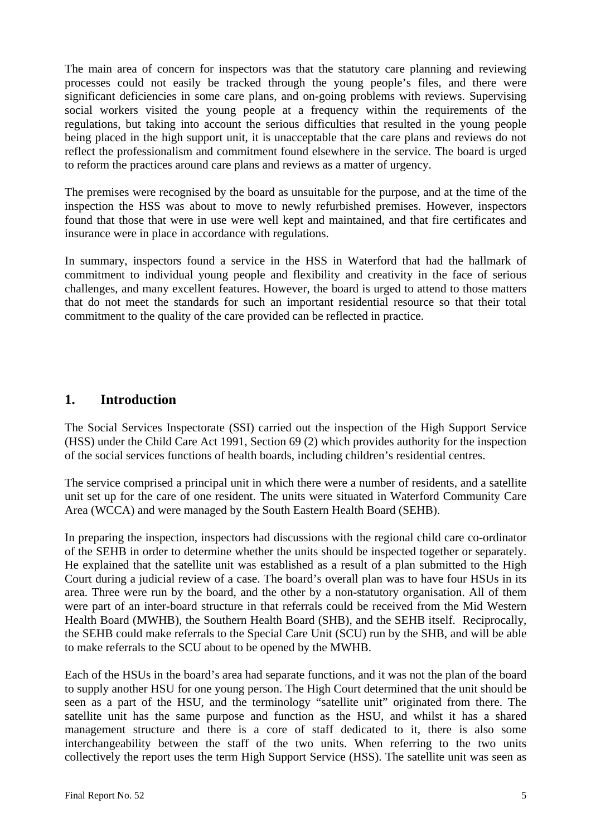The main area of concern for inspectors was that the statutory care planning and reviewing processes could not easily be tracked through the young people's files, and there were significant deficiencies in some care plans, and on-going problems with reviews. Supervising social workers visited the young people at a frequency within the requirements of the regulations, but taking into account the serious difficulties that resulted in the young people being placed in the high support unit, it is unacceptable that the care plans and reviews do not reflect the professionalism and commitment found elsewhere in the service. The board is urged to reform the practices around care plans and reviews as a matter of urgency.

The premises were recognised by the board as unsuitable for the purpose, and at the time of the inspection the HSS was about to move to newly refurbished premises. However, inspectors found that those that were in use were well kept and maintained, and that fire certificates and insurance were in place in accordance with regulations.

In summary, inspectors found a service in the HSS in Waterford that had the hallmark of commitment to individual young people and flexibility and creativity in the face of serious challenges, and many excellent features. However, the board is urged to attend to those matters that do not meet the standards for such an important residential resource so that their total commitment to the quality of the care provided can be reflected in practice.

# **1. Introduction**

The Social Services Inspectorate (SSI) carried out the inspection of the High Support Service (HSS) under the Child Care Act 1991, Section 69 (2) which provides authority for the inspection of the social services functions of health boards, including children's residential centres.

The service comprised a principal unit in which there were a number of residents, and a satellite unit set up for the care of one resident. The units were situated in Waterford Community Care Area (WCCA) and were managed by the South Eastern Health Board (SEHB).

In preparing the inspection, inspectors had discussions with the regional child care co-ordinator of the SEHB in order to determine whether the units should be inspected together or separately. He explained that the satellite unit was established as a result of a plan submitted to the High Court during a judicial review of a case. The board's overall plan was to have four HSUs in its area. Three were run by the board, and the other by a non-statutory organisation. All of them were part of an inter-board structure in that referrals could be received from the Mid Western Health Board (MWHB), the Southern Health Board (SHB), and the SEHB itself. Reciprocally, the SEHB could make referrals to the Special Care Unit (SCU) run by the SHB, and will be able to make referrals to the SCU about to be opened by the MWHB.

Each of the HSUs in the board's area had separate functions, and it was not the plan of the board to supply another HSU for one young person. The High Court determined that the unit should be seen as a part of the HSU, and the terminology "satellite unit" originated from there. The satellite unit has the same purpose and function as the HSU, and whilst it has a shared management structure and there is a core of staff dedicated to it, there is also some interchangeability between the staff of the two units. When referring to the two units collectively the report uses the term High Support Service (HSS). The satellite unit was seen as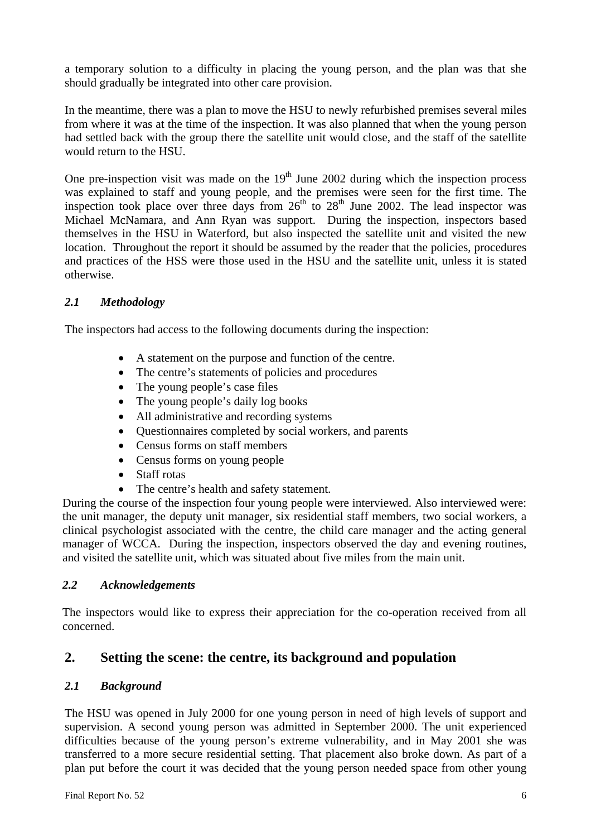a temporary solution to a difficulty in placing the young person, and the plan was that she should gradually be integrated into other care provision.

In the meantime, there was a plan to move the HSU to newly refurbished premises several miles from where it was at the time of the inspection. It was also planned that when the young person had settled back with the group there the satellite unit would close, and the staff of the satellite would return to the HSU.

One pre-inspection visit was made on the  $19<sup>th</sup>$  June 2002 during which the inspection process was explained to staff and young people, and the premises were seen for the first time. The inspection took place over three days from  $26<sup>th</sup>$  to  $28<sup>th</sup>$  June 2002. The lead inspector was Michael McNamara, and Ann Ryan was support. During the inspection, inspectors based themselves in the HSU in Waterford, but also inspected the satellite unit and visited the new location. Throughout the report it should be assumed by the reader that the policies, procedures and practices of the HSS were those used in the HSU and the satellite unit, unless it is stated otherwise.

# *2.1 Methodology*

The inspectors had access to the following documents during the inspection:

- A statement on the purpose and function of the centre.
- The centre's statements of policies and procedures
- The young people's case files
- The young people's daily log books
- All administrative and recording systems
- Ouestionnaires completed by social workers, and parents
- Census forms on staff members
- Census forms on young people
- Staff rotas
- The centre's health and safety statement.

During the course of the inspection four young people were interviewed. Also interviewed were: the unit manager, the deputy unit manager, six residential staff members, two social workers, a clinical psychologist associated with the centre, the child care manager and the acting general manager of WCCA. During the inspection, inspectors observed the day and evening routines, and visited the satellite unit, which was situated about five miles from the main unit.

# *2.2 Acknowledgements*

The inspectors would like to express their appreciation for the co-operation received from all concerned.

# **2. Setting the scene: the centre, its background and population**

# *2.1 Background*

The HSU was opened in July 2000 for one young person in need of high levels of support and supervision. A second young person was admitted in September 2000. The unit experienced difficulties because of the young person's extreme vulnerability, and in May 2001 she was transferred to a more secure residential setting. That placement also broke down. As part of a plan put before the court it was decided that the young person needed space from other young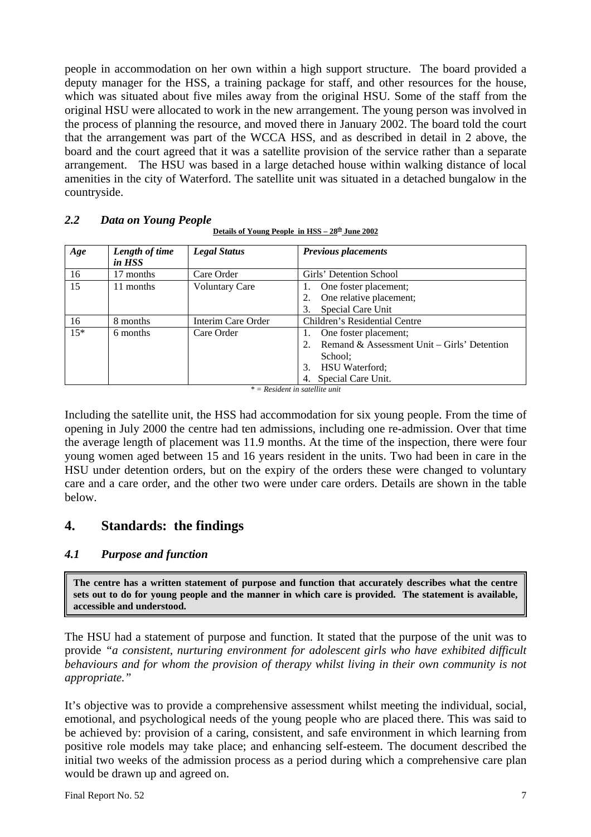people in accommodation on her own within a high support structure. The board provided a deputy manager for the HSS, a training package for staff, and other resources for the house, which was situated about five miles away from the original HSU. Some of the staff from the original HSU were allocated to work in the new arrangement. The young person was involved in the process of planning the resource, and moved there in January 2002. The board told the court that the arrangement was part of the WCCA HSS, and as described in detail in 2 above, the board and the court agreed that it was a satellite provision of the service rather than a separate arrangement. The HSU was based in a large detached house within walking distance of local amenities in the city of Waterford. The satellite unit was situated in a detached bungalow in the countryside.

#### *2.2 Data on Young People*

| <u>Details of Young People in HSS – 28<sup>th</sup> June 2002</u> |
|-------------------------------------------------------------------|
|                                                                   |

| Age   | Length of time<br>in HSS | <b>Legal Status</b>   | <b>Previous placements</b>                  |
|-------|--------------------------|-----------------------|---------------------------------------------|
|       |                          |                       |                                             |
| 16    | 17 months                | Care Order            | Girls' Detention School                     |
| 15    | 11 months                | <b>Voluntary Care</b> | One foster placement;                       |
|       |                          |                       | One relative placement;                     |
|       |                          |                       | Special Care Unit                           |
| 16    | 8 months                 | Interim Care Order    | Children's Residential Centre               |
| $15*$ | 6 months                 | Care Order            | One foster placement;                       |
|       |                          |                       | Remand & Assessment Unit – Girls' Detention |
|       |                          |                       | School:                                     |
|       |                          |                       | <b>HSU</b> Waterford;<br>3.                 |
|       |                          |                       | Special Care Unit.                          |

*\* = Resident in satellite unit*

Including the satellite unit, the HSS had accommodation for six young people. From the time of opening in July 2000 the centre had ten admissions, including one re-admission. Over that time the average length of placement was 11.9 months. At the time of the inspection, there were four young women aged between 15 and 16 years resident in the units. Two had been in care in the HSU under detention orders, but on the expiry of the orders these were changed to voluntary care and a care order, and the other two were under care orders. Details are shown in the table below.

# **4. Standards: the findings**

# *4.1 Purpose and function*

**The centre has a written statement of purpose and function that accurately describes what the centre sets out to do for young people and the manner in which care is provided. The statement is available, accessible and understood.** 

The HSU had a statement of purpose and function. It stated that the purpose of the unit was to provide *"a consistent, nurturing environment for adolescent girls who have exhibited difficult behaviours and for whom the provision of therapy whilst living in their own community is not appropriate."* 

It's objective was to provide a comprehensive assessment whilst meeting the individual, social, emotional, and psychological needs of the young people who are placed there. This was said to be achieved by: provision of a caring, consistent, and safe environment in which learning from positive role models may take place; and enhancing self-esteem. The document described the initial two weeks of the admission process as a period during which a comprehensive care plan would be drawn up and agreed on.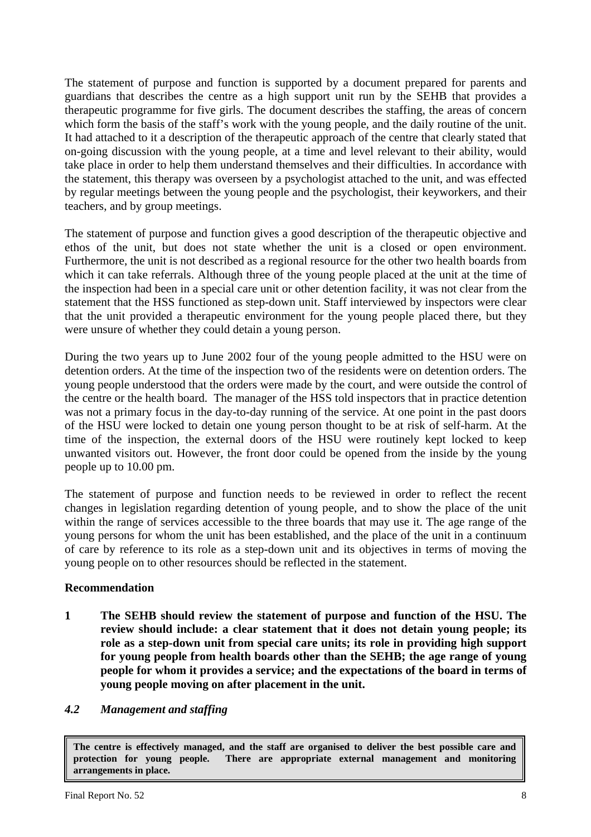The statement of purpose and function is supported by a document prepared for parents and guardians that describes the centre as a high support unit run by the SEHB that provides a therapeutic programme for five girls. The document describes the staffing, the areas of concern which form the basis of the staff's work with the young people, and the daily routine of the unit. It had attached to it a description of the therapeutic approach of the centre that clearly stated that on-going discussion with the young people, at a time and level relevant to their ability, would take place in order to help them understand themselves and their difficulties. In accordance with the statement, this therapy was overseen by a psychologist attached to the unit, and was effected by regular meetings between the young people and the psychologist, their keyworkers, and their teachers, and by group meetings.

The statement of purpose and function gives a good description of the therapeutic objective and ethos of the unit, but does not state whether the unit is a closed or open environment. Furthermore, the unit is not described as a regional resource for the other two health boards from which it can take referrals. Although three of the young people placed at the unit at the time of the inspection had been in a special care unit or other detention facility, it was not clear from the statement that the HSS functioned as step-down unit. Staff interviewed by inspectors were clear that the unit provided a therapeutic environment for the young people placed there, but they were unsure of whether they could detain a young person.

During the two years up to June 2002 four of the young people admitted to the HSU were on detention orders. At the time of the inspection two of the residents were on detention orders. The young people understood that the orders were made by the court, and were outside the control of the centre or the health board. The manager of the HSS told inspectors that in practice detention was not a primary focus in the day-to-day running of the service. At one point in the past doors of the HSU were locked to detain one young person thought to be at risk of self-harm. At the time of the inspection, the external doors of the HSU were routinely kept locked to keep unwanted visitors out. However, the front door could be opened from the inside by the young people up to 10.00 pm.

The statement of purpose and function needs to be reviewed in order to reflect the recent changes in legislation regarding detention of young people, and to show the place of the unit within the range of services accessible to the three boards that may use it. The age range of the young persons for whom the unit has been established, and the place of the unit in a continuum of care by reference to its role as a step-down unit and its objectives in terms of moving the young people on to other resources should be reflected in the statement.

# **Recommendation**

**1 The SEHB should review the statement of purpose and function of the HSU. The review should include: a clear statement that it does not detain young people; its role as a step-down unit from special care units; its role in providing high support for young people from health boards other than the SEHB; the age range of young people for whom it provides a service; and the expectations of the board in terms of young people moving on after placement in the unit.** 

# *4.2 Management and staffing*

**The centre is effectively managed, and the staff are organised to deliver the best possible care and protection for young people. There are appropriate external management and monitoring arrangements in place.**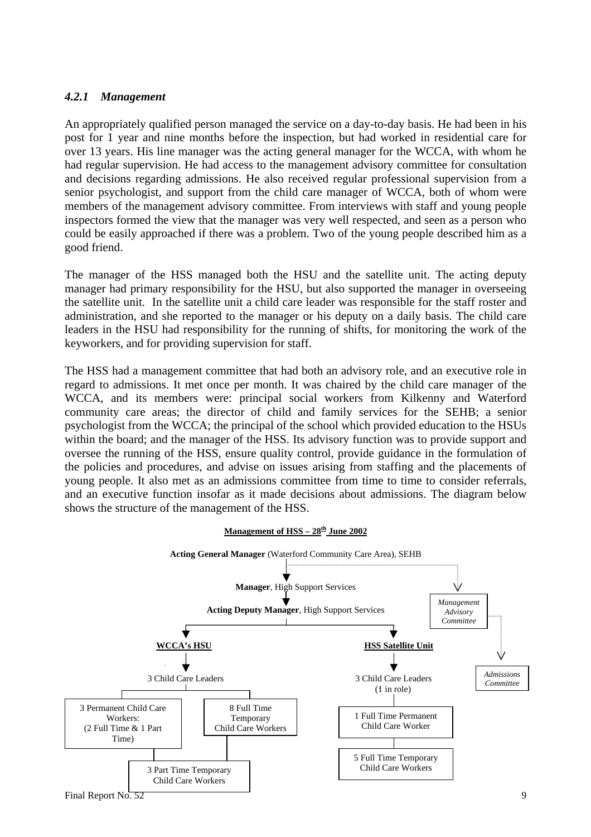#### *4.2.1 Management*

An appropriately qualified person managed the service on a day-to-day basis. He had been in his post for 1 year and nine months before the inspection, but had worked in residential care for over 13 years. His line manager was the acting general manager for the WCCA, with whom he had regular supervision. He had access to the management advisory committee for consultation and decisions regarding admissions. He also received regular professional supervision from a senior psychologist, and support from the child care manager of WCCA, both of whom were members of the management advisory committee. From interviews with staff and young people inspectors formed the view that the manager was very well respected, and seen as a person who could be easily approached if there was a problem. Two of the young people described him as a good friend.

The manager of the HSS managed both the HSU and the satellite unit. The acting deputy manager had primary responsibility for the HSU, but also supported the manager in overseeing the satellite unit. In the satellite unit a child care leader was responsible for the staff roster and administration, and she reported to the manager or his deputy on a daily basis. The child care leaders in the HSU had responsibility for the running of shifts, for monitoring the work of the keyworkers, and for providing supervision for staff.

The HSS had a management committee that had both an advisory role, and an executive role in regard to admissions. It met once per month. It was chaired by the child care manager of the WCCA, and its members were: principal social workers from Kilkenny and Waterford community care areas; the director of child and family services for the SEHB; a senior psychologist from the WCCA; the principal of the school which provided education to the HSUs within the board; and the manager of the HSS. Its advisory function was to provide support and oversee the running of the HSS, ensure quality control, provide guidance in the formulation of the policies and procedures, and advise on issues arising from staffing and the placements of young people. It also met as an admissions committee from time to time to consider referrals, and an executive function insofar as it made decisions about admissions. The diagram below shows the structure of the management of the HSS.

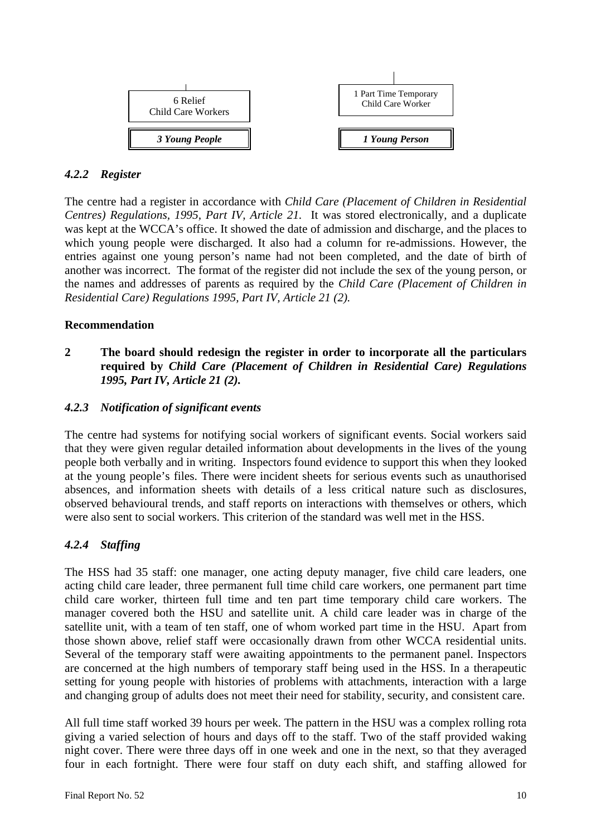

#### *4.2.2 Register*

The centre had a register in accordance with *Child Care (Placement of Children in Residential Centres) Regulations, 1995, Part IV, Article 21.* It was stored electronically, and a duplicate was kept at the WCCA's office. It showed the date of admission and discharge, and the places to which young people were discharged. It also had a column for re-admissions. However, the entries against one young person's name had not been completed, and the date of birth of another was incorrect. The format of the register did not include the sex of the young person, or the names and addresses of parents as required by the *Child Care (Placement of Children in Residential Care) Regulations 1995, Part IV, Article 21 (2).*

#### **Recommendation**

**2 The board should redesign the register in order to incorporate all the particulars required by** *Child Care (Placement of Children in Residential Care) Regulations 1995, Part IV, Article 21 (2).*

# *4.2.3 Notification of significant events*

The centre had systems for notifying social workers of significant events. Social workers said that they were given regular detailed information about developments in the lives of the young people both verbally and in writing. Inspectors found evidence to support this when they looked at the young people's files. There were incident sheets for serious events such as unauthorised absences, and information sheets with details of a less critical nature such as disclosures, observed behavioural trends, and staff reports on interactions with themselves or others, which were also sent to social workers. This criterion of the standard was well met in the HSS.

# *4.2.4 Staffing*

The HSS had 35 staff: one manager, one acting deputy manager, five child care leaders, one acting child care leader, three permanent full time child care workers, one permanent part time child care worker, thirteen full time and ten part time temporary child care workers. The manager covered both the HSU and satellite unit. A child care leader was in charge of the satellite unit, with a team of ten staff, one of whom worked part time in the HSU. Apart from those shown above, relief staff were occasionally drawn from other WCCA residential units. Several of the temporary staff were awaiting appointments to the permanent panel. Inspectors are concerned at the high numbers of temporary staff being used in the HSS. In a therapeutic setting for young people with histories of problems with attachments, interaction with a large and changing group of adults does not meet their need for stability, security, and consistent care.

All full time staff worked 39 hours per week. The pattern in the HSU was a complex rolling rota giving a varied selection of hours and days off to the staff. Two of the staff provided waking night cover. There were three days off in one week and one in the next, so that they averaged four in each fortnight. There were four staff on duty each shift, and staffing allowed for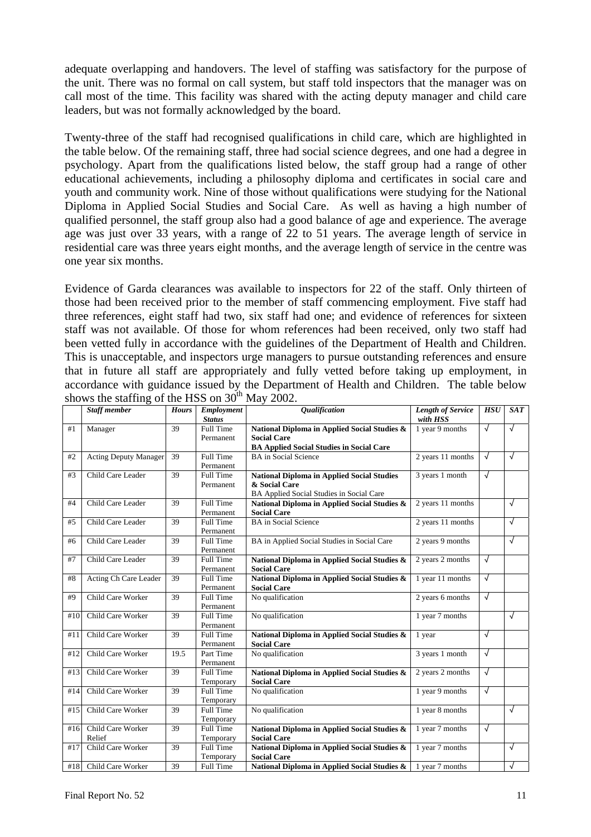adequate overlapping and handovers. The level of staffing was satisfactory for the purpose of the unit. There was no formal on call system, but staff told inspectors that the manager was on call most of the time. This facility was shared with the acting deputy manager and child care leaders, but was not formally acknowledged by the board.

Twenty-three of the staff had recognised qualifications in child care, which are highlighted in the table below. Of the remaining staff, three had social science degrees, and one had a degree in psychology. Apart from the qualifications listed below, the staff group had a range of other educational achievements, including a philosophy diploma and certificates in social care and youth and community work. Nine of those without qualifications were studying for the National Diploma in Applied Social Studies and Social Care. As well as having a high number of qualified personnel, the staff group also had a good balance of age and experience. The average age was just over 33 years, with a range of 22 to 51 years. The average length of service in residential care was three years eight months, and the average length of service in the centre was one year six months.

Evidence of Garda clearances was available to inspectors for 22 of the staff. Only thirteen of those had been received prior to the member of staff commencing employment. Five staff had three references, eight staff had two, six staff had one; and evidence of references for sixteen staff was not available. Of those for whom references had been received, only two staff had been vetted fully in accordance with the guidelines of the Department of Health and Children. This is unacceptable, and inspectors urge managers to pursue outstanding references and ensure that in future all staff are appropriately and fully vetted before taking up employment, in accordance with guidance issued by the Department of Health and Children. The table below shows the staffing of the HSS on  $30^{th}$  May 2002.

|     | <b>Staff member</b>          | <b>Hours</b> | Employment<br><b>Status</b> | <b>Qualification</b>                              | <b>Length of Service</b><br>with HSS | <b>HSU</b> | SAT        |
|-----|------------------------------|--------------|-----------------------------|---------------------------------------------------|--------------------------------------|------------|------------|
| #1  | Manager                      | 39           | Full Time                   | National Diploma in Applied Social Studies &      | 1 year 9 months                      | $\sqrt{ }$ | $\sqrt{ }$ |
|     |                              |              | Permanent                   | <b>Social Care</b>                                |                                      |            |            |
|     |                              |              |                             | <b>BA Applied Social Studies in Social Care</b>   |                                      |            |            |
| #2  | <b>Acting Deputy Manager</b> | 39           | <b>Full Time</b>            | <b>BA</b> in Social Science                       | 2 years 11 months                    | $\sqrt{}$  | $\sqrt{ }$ |
|     |                              |              | Permanent                   |                                                   |                                      |            |            |
| #3  | Child Care Leader            | 39           | Full Time                   | <b>National Diploma in Applied Social Studies</b> | 3 years 1 month                      | $\sqrt{}$  |            |
|     |                              |              | Permanent                   | & Social Care                                     |                                      |            |            |
|     |                              |              |                             | BA Applied Social Studies in Social Care          |                                      |            |            |
| #4  | Child Care Leader            | 39           | Full Time                   | National Diploma in Applied Social Studies &      | 2 years 11 months                    |            | $\sqrt{ }$ |
|     |                              |              | Permanent                   | <b>Social Care</b>                                |                                      |            |            |
| #5  | Child Care Leader            | 39           | <b>Full Time</b>            | <b>BA</b> in Social Science                       | 2 years 11 months                    |            | $\sqrt{ }$ |
|     |                              |              | Permanent                   |                                                   |                                      |            |            |
| #6  | Child Care Leader            | 39           | Full Time                   | BA in Applied Social Studies in Social Care       | 2 years 9 months                     |            | $\sqrt{ }$ |
|     |                              |              | Permanent                   |                                                   |                                      |            |            |
| #7  | Child Care Leader            | 39           | Full Time                   | National Diploma in Applied Social Studies &      | 2 years 2 months                     | $\sqrt{ }$ |            |
|     |                              |              | Permanent                   | <b>Social Care</b>                                |                                      |            |            |
| #8  | Acting Ch Care Leader        | 39           | Full Time                   | National Diploma in Applied Social Studies &      | 1 year 11 months                     | $\sqrt{ }$ |            |
|     |                              |              | Permanent                   | <b>Social Care</b>                                |                                      |            |            |
| #9  | Child Care Worker            | 39           | Full Time                   | No qualification                                  | 2 years 6 months                     | $\sqrt{ }$ |            |
|     |                              |              | Permanent                   |                                                   |                                      |            |            |
| #10 | Child Care Worker            | 39           | Full Time                   | No qualification                                  | 1 year 7 months                      |            | $\sqrt{ }$ |
|     |                              |              | Permanent                   |                                                   |                                      |            |            |
| #11 | Child Care Worker            | 39           | <b>Full Time</b>            | National Diploma in Applied Social Studies &      | 1 year                               | $\sqrt{ }$ |            |
|     |                              |              | Permanent                   | <b>Social Care</b>                                |                                      |            |            |
| #12 | Child Care Worker            | 19.5         | Part Time                   | No qualification                                  | 3 years 1 month                      | $\sqrt{ }$ |            |
|     |                              |              | Permanent                   |                                                   |                                      |            |            |
| #13 | Child Care Worker            | 39           | Full Time                   | National Diploma in Applied Social Studies &      | 2 years 2 months                     | $\sqrt{}$  |            |
|     |                              |              | Temporary                   | <b>Social Care</b>                                |                                      |            |            |
| #14 | Child Care Worker            | 39           | Full Time                   | No qualification                                  | 1 year 9 months                      | $\sqrt{ }$ |            |
|     |                              |              | Temporary                   |                                                   |                                      |            |            |
| #15 | Child Care Worker            | 39           | <b>Full Time</b>            | No qualification                                  | 1 year 8 months                      |            | $\sqrt{ }$ |
|     |                              |              | Temporary                   |                                                   |                                      |            |            |
| #16 | Child Care Worker            | 39           | Full Time                   | National Diploma in Applied Social Studies &      | 1 year 7 months                      | $\sqrt{ }$ |            |
|     | Relief                       |              | Temporary                   | <b>Social Care</b>                                |                                      |            |            |
| #17 | Child Care Worker            | 39           | Full Time                   | National Diploma in Applied Social Studies &      | 1 year 7 months                      |            | $\sqrt{ }$ |
|     |                              |              | Temporary                   | <b>Social Care</b>                                |                                      |            |            |
| #18 | Child Care Worker            | 39           | Full Time                   | National Diploma in Applied Social Studies &      | 1 year 7 months                      |            | $\sqrt{ }$ |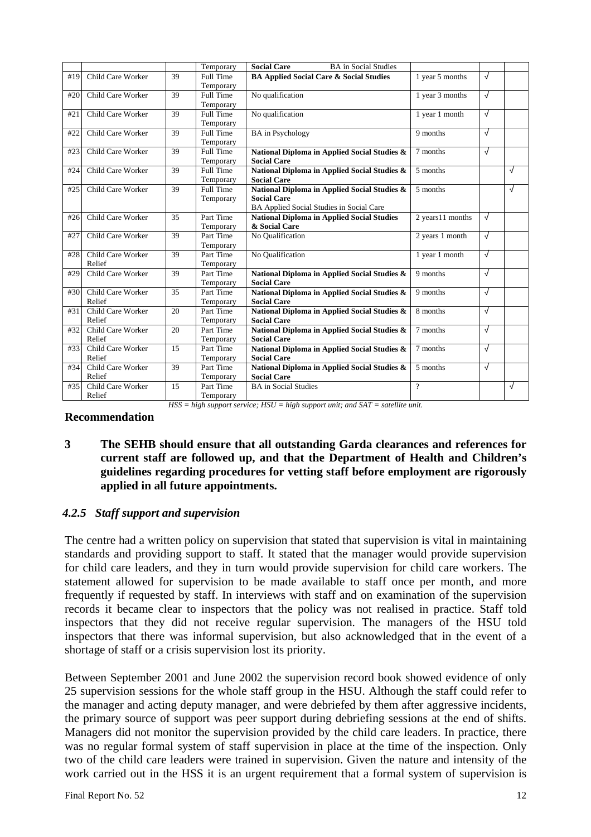|     |                   |    | Temporary | <b>Social Care</b><br><b>BA</b> in Social Studies  |                  |   |            |
|-----|-------------------|----|-----------|----------------------------------------------------|------------------|---|------------|
| #19 | Child Care Worker | 39 | Full Time | <b>BA Applied Social Care &amp; Social Studies</b> | 1 year 5 months  | √ |            |
|     |                   |    | Temporary |                                                    |                  |   |            |
| #20 | Child Care Worker | 39 | Full Time | No qualification                                   | 1 year 3 months  | √ |            |
|     |                   |    | Temporary |                                                    |                  |   |            |
| #21 | Child Care Worker | 39 | Full Time | No qualification                                   | 1 year 1 month   | √ |            |
|     |                   |    | Temporary |                                                    |                  |   |            |
| #22 | Child Care Worker | 39 | Full Time | <b>BA</b> in Psychology                            | 9 months         | √ |            |
|     |                   |    | Temporary |                                                    |                  |   |            |
| #23 | Child Care Worker | 39 | Full Time | National Diploma in Applied Social Studies &       | 7 months         | √ |            |
|     |                   |    | Temporary | <b>Social Care</b>                                 |                  |   |            |
| #24 | Child Care Worker | 39 | Full Time | National Diploma in Applied Social Studies &       | 5 months         |   | $\sqrt{ }$ |
|     |                   |    | Temporary | <b>Social Care</b>                                 |                  |   |            |
| #25 | Child Care Worker | 39 | Full Time | National Diploma in Applied Social Studies &       | 5 months         |   | $\sqrt{ }$ |
|     |                   |    | Temporary | <b>Social Care</b>                                 |                  |   |            |
|     |                   |    |           | BA Applied Social Studies in Social Care           |                  |   |            |
| #26 | Child Care Worker | 35 | Part Time | <b>National Diploma in Applied Social Studies</b>  | 2 years11 months | √ |            |
|     |                   |    | Temporary | & Social Care                                      |                  |   |            |
| #27 | Child Care Worker | 39 | Part Time | No Qualification                                   | 2 years 1 month  | √ |            |
|     |                   |    | Temporary |                                                    |                  |   |            |
| #28 | Child Care Worker | 39 | Part Time | No Oualification                                   | 1 year 1 month   | √ |            |
|     | Relief            |    | Temporary |                                                    |                  |   |            |
| #29 | Child Care Worker | 39 | Part Time | National Diploma in Applied Social Studies &       | 9 months         | √ |            |
|     |                   |    | Temporary | <b>Social Care</b>                                 |                  |   |            |
| #30 | Child Care Worker | 35 | Part Time | National Diploma in Applied Social Studies &       | 9 months         | √ |            |
|     | Relief            |    | Temporary | <b>Social Care</b>                                 |                  |   |            |
| #31 | Child Care Worker | 20 | Part Time | National Diploma in Applied Social Studies &       | 8 months         | √ |            |
|     | Relief            |    | Temporary | <b>Social Care</b>                                 |                  |   |            |
| #32 | Child Care Worker | 20 | Part Time | National Diploma in Applied Social Studies &       | 7 months         | √ |            |
|     | Relief            |    | Temporary | <b>Social Care</b>                                 |                  |   |            |
| #33 | Child Care Worker | 15 | Part Time | National Diploma in Applied Social Studies &       | 7 months         | √ |            |
|     | Relief            |    | Temporary | <b>Social Care</b>                                 |                  |   |            |
| #34 | Child Care Worker | 39 | Part Time | National Diploma in Applied Social Studies &       | 5 months         | √ |            |
|     | Relief            |    | Temporary | <b>Social Care</b>                                 |                  |   |            |
| #35 | Child Care Worker | 15 | Part Time | <b>BA</b> in Social Studies                        | $\gamma$         |   | $\sqrt{ }$ |
|     | Relief            |    | Temporary |                                                    |                  |   |            |

**Recommendation** 

**3 The SEHB should ensure that all outstanding Garda clearances and references for current staff are followed up, and that the Department of Health and Children's guidelines regarding procedures for vetting staff before employment are rigorously**

*HSS = high support service; HSU = high support unit; and SAT = satellite unit.* 

# *4.2.5 Staff support and supervision*

**applied in all future appointments.** 

The centre had a written policy on supervision that stated that supervision is vital in maintaining standards and providing support to staff. It stated that the manager would provide supervision for child care leaders, and they in turn would provide supervision for child care workers. The statement allowed for supervision to be made available to staff once per month, and more frequently if requested by staff. In interviews with staff and on examination of the supervision records it became clear to inspectors that the policy was not realised in practice. Staff told inspectors that they did not receive regular supervision. The managers of the HSU told inspectors that there was informal supervision, but also acknowledged that in the event of a shortage of staff or a crisis supervision lost its priority.

Between September 2001 and June 2002 the supervision record book showed evidence of only 25 supervision sessions for the whole staff group in the HSU. Although the staff could refer to the manager and acting deputy manager, and were debriefed by them after aggressive incidents, the primary source of support was peer support during debriefing sessions at the end of shifts. Managers did not monitor the supervision provided by the child care leaders. In practice, there was no regular formal system of staff supervision in place at the time of the inspection. Only two of the child care leaders were trained in supervision. Given the nature and intensity of the work carried out in the HSS it is an urgent requirement that a formal system of supervision is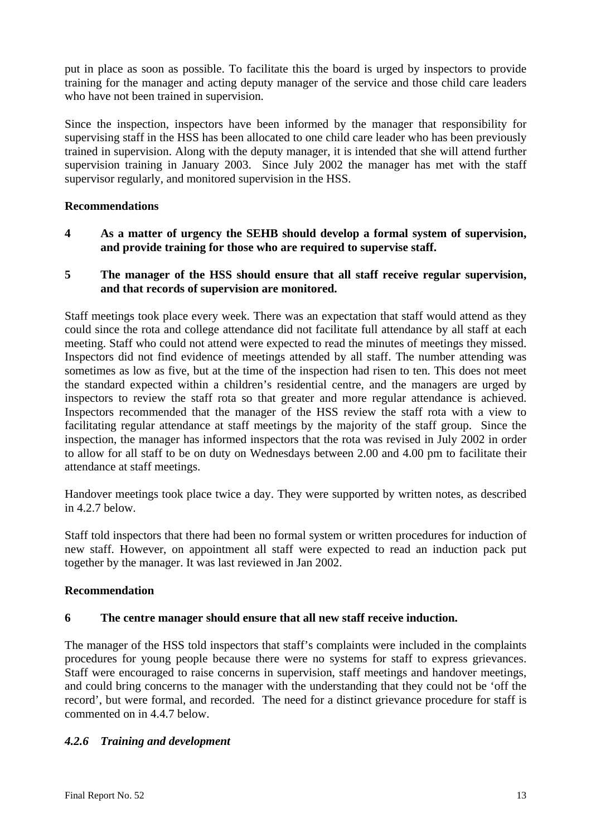put in place as soon as possible. To facilitate this the board is urged by inspectors to provide training for the manager and acting deputy manager of the service and those child care leaders who have not been trained in supervision.

Since the inspection, inspectors have been informed by the manager that responsibility for supervising staff in the HSS has been allocated to one child care leader who has been previously trained in supervision. Along with the deputy manager, it is intended that she will attend further supervision training in January 2003. Since July 2002 the manager has met with the staff supervisor regularly, and monitored supervision in the HSS.

# **Recommendations**

**4 As a matter of urgency the SEHB should develop a formal system of supervision, and provide training for those who are required to supervise staff.** 

#### **5 The manager of the HSS should ensure that all staff receive regular supervision, and that records of supervision are monitored.**

Staff meetings took place every week. There was an expectation that staff would attend as they could since the rota and college attendance did not facilitate full attendance by all staff at each meeting. Staff who could not attend were expected to read the minutes of meetings they missed. Inspectors did not find evidence of meetings attended by all staff. The number attending was sometimes as low as five, but at the time of the inspection had risen to ten. This does not meet the standard expected within a children's residential centre, and the managers are urged by inspectors to review the staff rota so that greater and more regular attendance is achieved. Inspectors recommended that the manager of the HSS review the staff rota with a view to facilitating regular attendance at staff meetings by the majority of the staff group. Since the inspection, the manager has informed inspectors that the rota was revised in July 2002 in order to allow for all staff to be on duty on Wednesdays between 2.00 and 4.00 pm to facilitate their attendance at staff meetings.

Handover meetings took place twice a day. They were supported by written notes, as described in 4.2.7 below.

Staff told inspectors that there had been no formal system or written procedures for induction of new staff. However, on appointment all staff were expected to read an induction pack put together by the manager. It was last reviewed in Jan 2002.

#### **Recommendation**

#### **6 The centre manager should ensure that all new staff receive induction.**

The manager of the HSS told inspectors that staff's complaints were included in the complaints procedures for young people because there were no systems for staff to express grievances. Staff were encouraged to raise concerns in supervision, staff meetings and handover meetings, and could bring concerns to the manager with the understanding that they could not be 'off the record', but were formal, and recorded. The need for a distinct grievance procedure for staff is commented on in 4.4.7 below.

# *4.2.6 Training and development*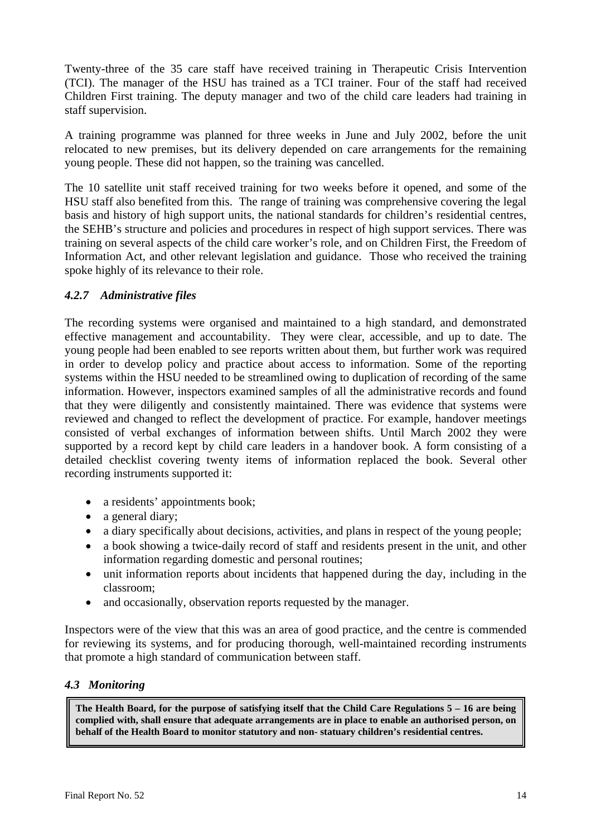Twenty-three of the 35 care staff have received training in Therapeutic Crisis Intervention (TCI). The manager of the HSU has trained as a TCI trainer. Four of the staff had received Children First training. The deputy manager and two of the child care leaders had training in staff supervision.

A training programme was planned for three weeks in June and July 2002, before the unit relocated to new premises, but its delivery depended on care arrangements for the remaining young people. These did not happen, so the training was cancelled.

The 10 satellite unit staff received training for two weeks before it opened, and some of the HSU staff also benefited from this. The range of training was comprehensive covering the legal basis and history of high support units, the national standards for children's residential centres, the SEHB's structure and policies and procedures in respect of high support services. There was training on several aspects of the child care worker's role, and on Children First, the Freedom of Information Act, and other relevant legislation and guidance. Those who received the training spoke highly of its relevance to their role.

# *4.2.7 Administrative files*

The recording systems were organised and maintained to a high standard, and demonstrated effective management and accountability. They were clear, accessible, and up to date. The young people had been enabled to see reports written about them, but further work was required in order to develop policy and practice about access to information. Some of the reporting systems within the HSU needed to be streamlined owing to duplication of recording of the same information. However, inspectors examined samples of all the administrative records and found that they were diligently and consistently maintained. There was evidence that systems were reviewed and changed to reflect the development of practice. For example, handover meetings consisted of verbal exchanges of information between shifts. Until March 2002 they were supported by a record kept by child care leaders in a handover book. A form consisting of a detailed checklist covering twenty items of information replaced the book. Several other recording instruments supported it:

- a residents' appointments book;
- a general diary;
- a diary specifically about decisions, activities, and plans in respect of the young people;
- a book showing a twice-daily record of staff and residents present in the unit, and other information regarding domestic and personal routines;
- unit information reports about incidents that happened during the day, including in the classroom;
- and occasionally, observation reports requested by the manager.

Inspectors were of the view that this was an area of good practice, and the centre is commended for reviewing its systems, and for producing thorough, well-maintained recording instruments that promote a high standard of communication between staff.

# *4.3 Monitoring*

**The Health Board, for the purpose of satisfying itself that the Child Care Regulations 5 – 16 are being complied with, shall ensure that adequate arrangements are in place to enable an authorised person, on behalf of the Health Board to monitor statutory and non- statuary children's residential centres.**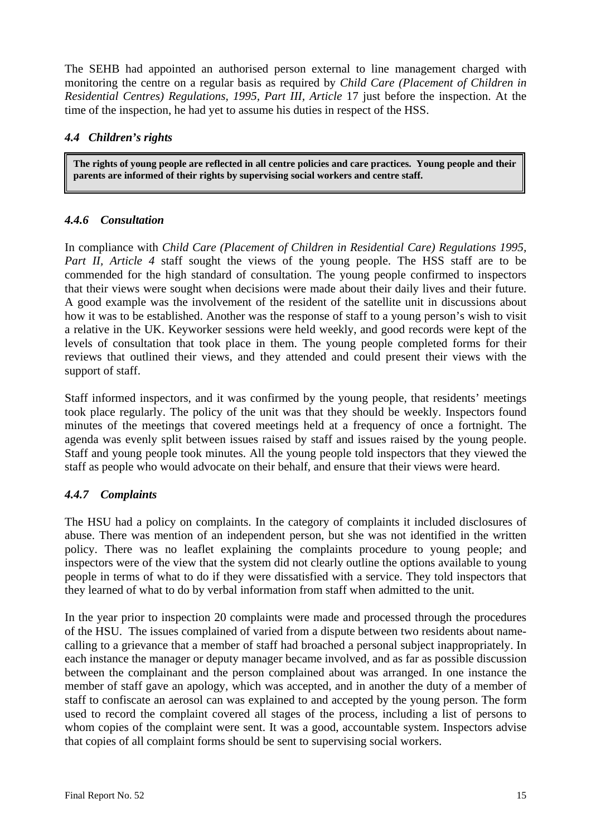The SEHB had appointed an authorised person external to line management charged with monitoring the centre on a regular basis as required by *Child Care (Placement of Children in Residential Centres) Regulations, 1995, Part III, Article* 17 just before the inspection. At the time of the inspection, he had yet to assume his duties in respect of the HSS.

# *4.4 Children's rights*

**The rights of young people are reflected in all centre policies and care practices. Young people and their parents are informed of their rights by supervising social workers and centre staff.** 

# *4.4.6 Consultation*

In compliance with *Child Care (Placement of Children in Residential Care) Regulations 1995, Part II, Article 4* staff sought the views of the young people. The HSS staff are to be commended for the high standard of consultation. The young people confirmed to inspectors that their views were sought when decisions were made about their daily lives and their future. A good example was the involvement of the resident of the satellite unit in discussions about how it was to be established. Another was the response of staff to a young person's wish to visit a relative in the UK. Keyworker sessions were held weekly, and good records were kept of the levels of consultation that took place in them. The young people completed forms for their reviews that outlined their views, and they attended and could present their views with the support of staff.

Staff informed inspectors, and it was confirmed by the young people, that residents' meetings took place regularly. The policy of the unit was that they should be weekly. Inspectors found minutes of the meetings that covered meetings held at a frequency of once a fortnight. The agenda was evenly split between issues raised by staff and issues raised by the young people. Staff and young people took minutes. All the young people told inspectors that they viewed the staff as people who would advocate on their behalf, and ensure that their views were heard.

# *4.4.7 Complaints*

The HSU had a policy on complaints. In the category of complaints it included disclosures of abuse. There was mention of an independent person, but she was not identified in the written policy. There was no leaflet explaining the complaints procedure to young people; and inspectors were of the view that the system did not clearly outline the options available to young people in terms of what to do if they were dissatisfied with a service. They told inspectors that they learned of what to do by verbal information from staff when admitted to the unit.

In the year prior to inspection 20 complaints were made and processed through the procedures of the HSU. The issues complained of varied from a dispute between two residents about namecalling to a grievance that a member of staff had broached a personal subject inappropriately. In each instance the manager or deputy manager became involved, and as far as possible discussion between the complainant and the person complained about was arranged. In one instance the member of staff gave an apology, which was accepted, and in another the duty of a member of staff to confiscate an aerosol can was explained to and accepted by the young person. The form used to record the complaint covered all stages of the process, including a list of persons to whom copies of the complaint were sent. It was a good, accountable system. Inspectors advise that copies of all complaint forms should be sent to supervising social workers.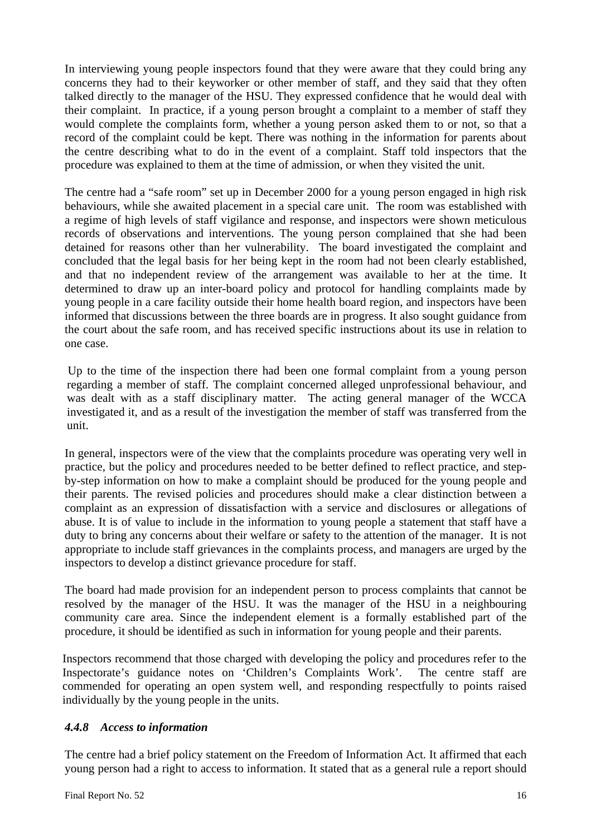In interviewing young people inspectors found that they were aware that they could bring any concerns they had to their keyworker or other member of staff, and they said that they often talked directly to the manager of the HSU. They expressed confidence that he would deal with their complaint. In practice, if a young person brought a complaint to a member of staff they would complete the complaints form, whether a young person asked them to or not, so that a record of the complaint could be kept. There was nothing in the information for parents about the centre describing what to do in the event of a complaint. Staff told inspectors that the procedure was explained to them at the time of admission, or when they visited the unit.

The centre had a "safe room" set up in December 2000 for a young person engaged in high risk behaviours, while she awaited placement in a special care unit. The room was established with a regime of high levels of staff vigilance and response, and inspectors were shown meticulous records of observations and interventions. The young person complained that she had been detained for reasons other than her vulnerability. The board investigated the complaint and concluded that the legal basis for her being kept in the room had not been clearly established, and that no independent review of the arrangement was available to her at the time. It determined to draw up an inter-board policy and protocol for handling complaints made by young people in a care facility outside their home health board region, and inspectors have been informed that discussions between the three boards are in progress. It also sought guidance from the court about the safe room, and has received specific instructions about its use in relation to one case.

Up to the time of the inspection there had been one formal complaint from a young person regarding a member of staff. The complaint concerned alleged unprofessional behaviour, and was dealt with as a staff disciplinary matter. The acting general manager of the WCCA investigated it, and as a result of the investigation the member of staff was transferred from the unit.

In general, inspectors were of the view that the complaints procedure was operating very well in practice, but the policy and procedures needed to be better defined to reflect practice, and stepby-step information on how to make a complaint should be produced for the young people and their parents. The revised policies and procedures should make a clear distinction between a complaint as an expression of dissatisfaction with a service and disclosures or allegations of abuse. It is of value to include in the information to young people a statement that staff have a duty to bring any concerns about their welfare or safety to the attention of the manager. It is not appropriate to include staff grievances in the complaints process, and managers are urged by the inspectors to develop a distinct grievance procedure for staff.

The board had made provision for an independent person to process complaints that cannot be resolved by the manager of the HSU. It was the manager of the HSU in a neighbouring community care area. Since the independent element is a formally established part of the procedure, it should be identified as such in information for young people and their parents.

Inspectors recommend that those charged with developing the policy and procedures refer to the Inspectorate's guidance notes on 'Children's Complaints Work'. The centre staff are commended for operating an open system well, and responding respectfully to points raised individually by the young people in the units.

# *4.4.8 Access to information*

The centre had a brief policy statement on the Freedom of Information Act. It affirmed that each young person had a right to access to information. It stated that as a general rule a report should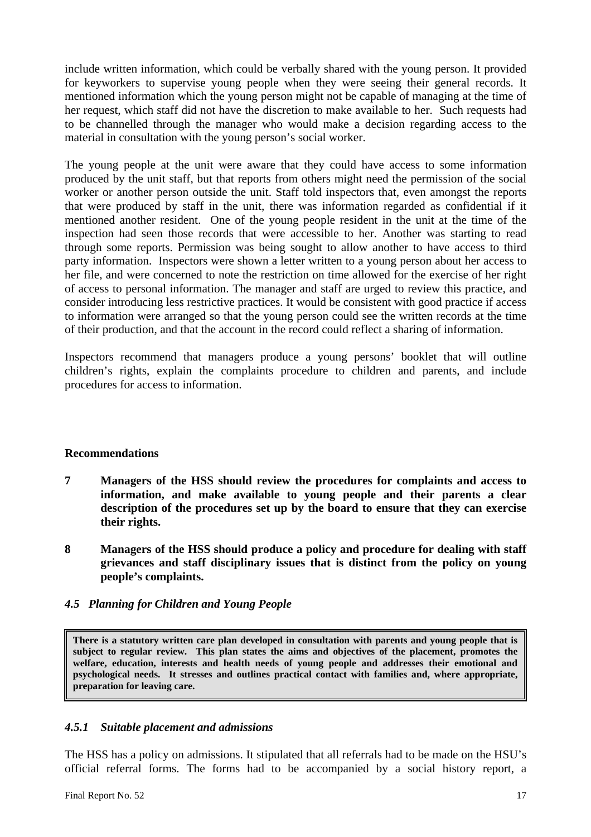include written information, which could be verbally shared with the young person. It provided for keyworkers to supervise young people when they were seeing their general records. It mentioned information which the young person might not be capable of managing at the time of her request, which staff did not have the discretion to make available to her. Such requests had to be channelled through the manager who would make a decision regarding access to the material in consultation with the young person's social worker.

The young people at the unit were aware that they could have access to some information produced by the unit staff, but that reports from others might need the permission of the social worker or another person outside the unit. Staff told inspectors that, even amongst the reports that were produced by staff in the unit, there was information regarded as confidential if it mentioned another resident. One of the young people resident in the unit at the time of the inspection had seen those records that were accessible to her. Another was starting to read through some reports. Permission was being sought to allow another to have access to third party information. Inspectors were shown a letter written to a young person about her access to her file, and were concerned to note the restriction on time allowed for the exercise of her right of access to personal information. The manager and staff are urged to review this practice, and consider introducing less restrictive practices. It would be consistent with good practice if access to information were arranged so that the young person could see the written records at the time of their production, and that the account in the record could reflect a sharing of information.

Inspectors recommend that managers produce a young persons' booklet that will outline children's rights, explain the complaints procedure to children and parents, and include procedures for access to information.

#### **Recommendations**

- **7 Managers of the HSS should review the procedures for complaints and access to information, and make available to young people and their parents a clear description of the procedures set up by the board to ensure that they can exercise their rights.**
- **8 Managers of the HSS should produce a policy and procedure for dealing with staff grievances and staff disciplinary issues that is distinct from the policy on young people's complaints.**
- *4.5 Planning for Children and Young People*

**There is a statutory written care plan developed in consultation with parents and young people that is subject to regular review. This plan states the aims and objectives of the placement, promotes the welfare, education, interests and health needs of young people and addresses their emotional and psychological needs. It stresses and outlines practical contact with families and, where appropriate, preparation for leaving care.** 

# *4.5.1 Suitable placement and admissions*

The HSS has a policy on admissions. It stipulated that all referrals had to be made on the HSU's official referral forms. The forms had to be accompanied by a social history report, a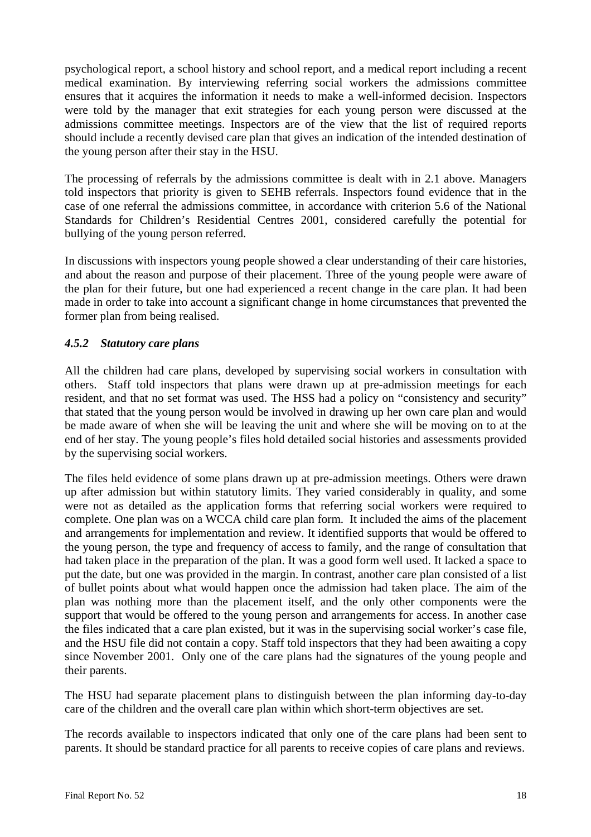psychological report, a school history and school report, and a medical report including a recent medical examination. By interviewing referring social workers the admissions committee ensures that it acquires the information it needs to make a well-informed decision. Inspectors were told by the manager that exit strategies for each young person were discussed at the admissions committee meetings. Inspectors are of the view that the list of required reports should include a recently devised care plan that gives an indication of the intended destination of the young person after their stay in the HSU.

The processing of referrals by the admissions committee is dealt with in 2.1 above. Managers told inspectors that priority is given to SEHB referrals. Inspectors found evidence that in the case of one referral the admissions committee, in accordance with criterion 5.6 of the National Standards for Children's Residential Centres 2001, considered carefully the potential for bullying of the young person referred.

In discussions with inspectors young people showed a clear understanding of their care histories, and about the reason and purpose of their placement. Three of the young people were aware of the plan for their future, but one had experienced a recent change in the care plan. It had been made in order to take into account a significant change in home circumstances that prevented the former plan from being realised.

# *4.5.2 Statutory care plans*

All the children had care plans, developed by supervising social workers in consultation with others. Staff told inspectors that plans were drawn up at pre-admission meetings for each resident, and that no set format was used. The HSS had a policy on "consistency and security" that stated that the young person would be involved in drawing up her own care plan and would be made aware of when she will be leaving the unit and where she will be moving on to at the end of her stay. The young people's files hold detailed social histories and assessments provided by the supervising social workers.

The files held evidence of some plans drawn up at pre-admission meetings. Others were drawn up after admission but within statutory limits. They varied considerably in quality, and some were not as detailed as the application forms that referring social workers were required to complete. One plan was on a WCCA child care plan form. It included the aims of the placement and arrangements for implementation and review. It identified supports that would be offered to the young person, the type and frequency of access to family, and the range of consultation that had taken place in the preparation of the plan. It was a good form well used. It lacked a space to put the date, but one was provided in the margin. In contrast, another care plan consisted of a list of bullet points about what would happen once the admission had taken place. The aim of the plan was nothing more than the placement itself, and the only other components were the support that would be offered to the young person and arrangements for access. In another case the files indicated that a care plan existed, but it was in the supervising social worker's case file, and the HSU file did not contain a copy. Staff told inspectors that they had been awaiting a copy since November 2001. Only one of the care plans had the signatures of the young people and their parents.

The HSU had separate placement plans to distinguish between the plan informing day-to-day care of the children and the overall care plan within which short-term objectives are set.

The records available to inspectors indicated that only one of the care plans had been sent to parents. It should be standard practice for all parents to receive copies of care plans and reviews.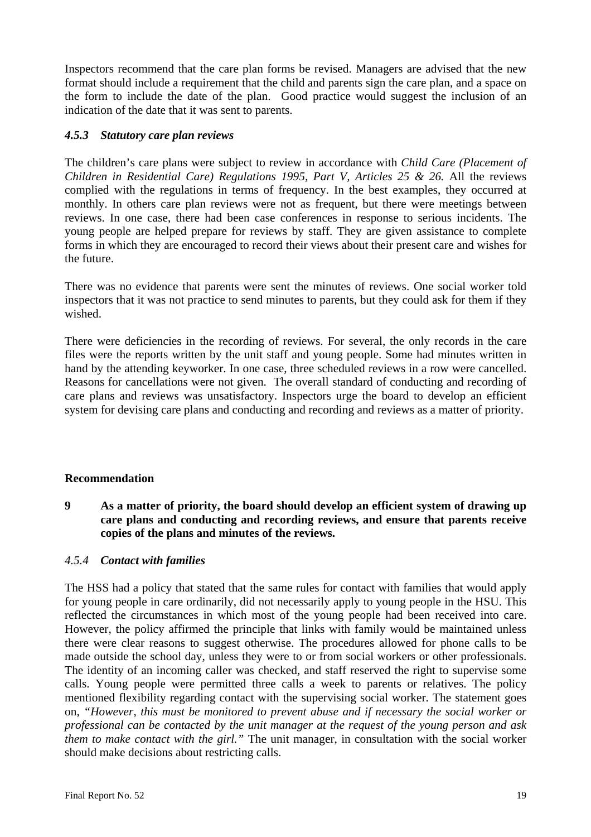Inspectors recommend that the care plan forms be revised. Managers are advised that the new format should include a requirement that the child and parents sign the care plan, and a space on the form to include the date of the plan. Good practice would suggest the inclusion of an indication of the date that it was sent to parents.

# *4.5.3 Statutory care plan reviews*

The children's care plans were subject to review in accordance with *Child Care (Placement of Children in Residential Care) Regulations 1995, Part V, Articles 25 & 26.* All the reviews complied with the regulations in terms of frequency. In the best examples, they occurred at monthly. In others care plan reviews were not as frequent, but there were meetings between reviews. In one case, there had been case conferences in response to serious incidents. The young people are helped prepare for reviews by staff. They are given assistance to complete forms in which they are encouraged to record their views about their present care and wishes for the future.

There was no evidence that parents were sent the minutes of reviews. One social worker told inspectors that it was not practice to send minutes to parents, but they could ask for them if they wished.

There were deficiencies in the recording of reviews. For several, the only records in the care files were the reports written by the unit staff and young people. Some had minutes written in hand by the attending keyworker. In one case, three scheduled reviews in a row were cancelled. Reasons for cancellations were not given. The overall standard of conducting and recording of care plans and reviews was unsatisfactory. Inspectors urge the board to develop an efficient system for devising care plans and conducting and recording and reviews as a matter of priority.

# **Recommendation**

**9 As a matter of priority, the board should develop an efficient system of drawing up care plans and conducting and recording reviews, and ensure that parents receive copies of the plans and minutes of the reviews.**

#### *4.5.4 Contact with families*

The HSS had a policy that stated that the same rules for contact with families that would apply for young people in care ordinarily, did not necessarily apply to young people in the HSU. This reflected the circumstances in which most of the young people had been received into care. However, the policy affirmed the principle that links with family would be maintained unless there were clear reasons to suggest otherwise. The procedures allowed for phone calls to be made outside the school day, unless they were to or from social workers or other professionals. The identity of an incoming caller was checked, and staff reserved the right to supervise some calls. Young people were permitted three calls a week to parents or relatives. The policy mentioned flexibility regarding contact with the supervising social worker. The statement goes on, *"However, this must be monitored to prevent abuse and if necessary the social worker or professional can be contacted by the unit manager at the request of the young person and ask them to make contact with the girl."* The unit manager, in consultation with the social worker should make decisions about restricting calls.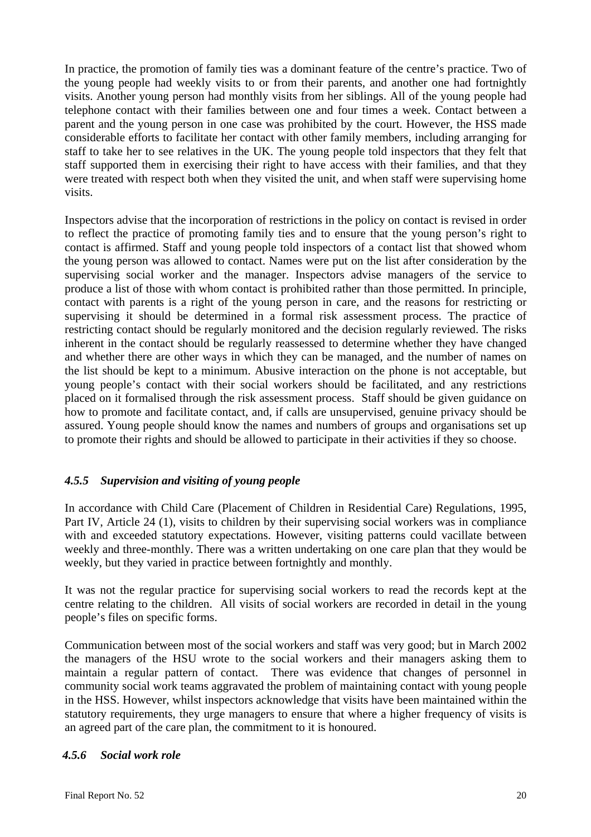In practice, the promotion of family ties was a dominant feature of the centre's practice. Two of the young people had weekly visits to or from their parents, and another one had fortnightly visits. Another young person had monthly visits from her siblings. All of the young people had telephone contact with their families between one and four times a week. Contact between a parent and the young person in one case was prohibited by the court. However, the HSS made considerable efforts to facilitate her contact with other family members, including arranging for staff to take her to see relatives in the UK. The young people told inspectors that they felt that staff supported them in exercising their right to have access with their families, and that they were treated with respect both when they visited the unit, and when staff were supervising home visits.

Inspectors advise that the incorporation of restrictions in the policy on contact is revised in order to reflect the practice of promoting family ties and to ensure that the young person's right to contact is affirmed. Staff and young people told inspectors of a contact list that showed whom the young person was allowed to contact. Names were put on the list after consideration by the supervising social worker and the manager. Inspectors advise managers of the service to produce a list of those with whom contact is prohibited rather than those permitted. In principle, contact with parents is a right of the young person in care, and the reasons for restricting or supervising it should be determined in a formal risk assessment process. The practice of restricting contact should be regularly monitored and the decision regularly reviewed. The risks inherent in the contact should be regularly reassessed to determine whether they have changed and whether there are other ways in which they can be managed, and the number of names on the list should be kept to a minimum. Abusive interaction on the phone is not acceptable, but young people's contact with their social workers should be facilitated, and any restrictions placed on it formalised through the risk assessment process. Staff should be given guidance on how to promote and facilitate contact, and, if calls are unsupervised, genuine privacy should be assured. Young people should know the names and numbers of groups and organisations set up to promote their rights and should be allowed to participate in their activities if they so choose.

# *4.5.5 Supervision and visiting of young people*

In accordance with Child Care (Placement of Children in Residential Care) Regulations, 1995, Part IV, Article 24 (1), visits to children by their supervising social workers was in compliance with and exceeded statutory expectations. However, visiting patterns could vacillate between weekly and three-monthly. There was a written undertaking on one care plan that they would be weekly, but they varied in practice between fortnightly and monthly.

It was not the regular practice for supervising social workers to read the records kept at the centre relating to the children. All visits of social workers are recorded in detail in the young people's files on specific forms.

Communication between most of the social workers and staff was very good; but in March 2002 the managers of the HSU wrote to the social workers and their managers asking them to maintain a regular pattern of contact. There was evidence that changes of personnel in community social work teams aggravated the problem of maintaining contact with young people in the HSS. However, whilst inspectors acknowledge that visits have been maintained within the statutory requirements, they urge managers to ensure that where a higher frequency of visits is an agreed part of the care plan, the commitment to it is honoured.

# *4.5.6 Social work role*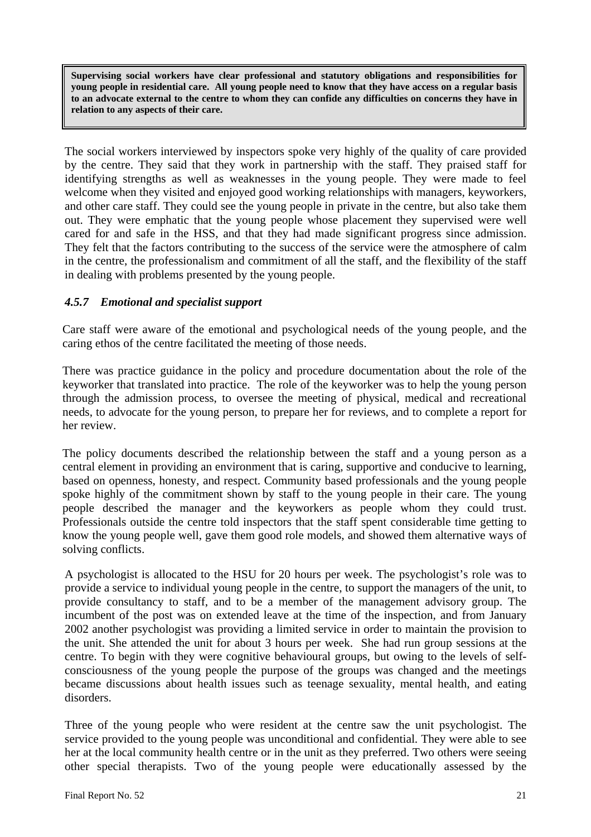**Supervising social workers have clear professional and statutory obligations and responsibilities for young people in residential care. All young people need to know that they have access on a regular basis to an advocate external to the centre to whom they can confide any difficulties on concerns they have in relation to any aspects of their care.** 

The social workers interviewed by inspectors spoke very highly of the quality of care provided by the centre. They said that they work in partnership with the staff. They praised staff for identifying strengths as well as weaknesses in the young people. They were made to feel welcome when they visited and enjoyed good working relationships with managers, keyworkers, and other care staff. They could see the young people in private in the centre, but also take them out. They were emphatic that the young people whose placement they supervised were well cared for and safe in the HSS, and that they had made significant progress since admission. They felt that the factors contributing to the success of the service were the atmosphere of calm in the centre, the professionalism and commitment of all the staff, and the flexibility of the staff in dealing with problems presented by the young people.

# *4.5.7 Emotional and specialist support*

Care staff were aware of the emotional and psychological needs of the young people, and the caring ethos of the centre facilitated the meeting of those needs.

There was practice guidance in the policy and procedure documentation about the role of the keyworker that translated into practice. The role of the keyworker was to help the young person through the admission process, to oversee the meeting of physical, medical and recreational needs, to advocate for the young person, to prepare her for reviews, and to complete a report for her review.

The policy documents described the relationship between the staff and a young person as a central element in providing an environment that is caring, supportive and conducive to learning, based on openness, honesty, and respect. Community based professionals and the young people spoke highly of the commitment shown by staff to the young people in their care. The young people described the manager and the keyworkers as people whom they could trust. Professionals outside the centre told inspectors that the staff spent considerable time getting to know the young people well, gave them good role models, and showed them alternative ways of solving conflicts.

A psychologist is allocated to the HSU for 20 hours per week. The psychologist's role was to provide a service to individual young people in the centre, to support the managers of the unit, to provide consultancy to staff, and to be a member of the management advisory group. The incumbent of the post was on extended leave at the time of the inspection, and from January 2002 another psychologist was providing a limited service in order to maintain the provision to the unit. She attended the unit for about 3 hours per week. She had run group sessions at the centre. To begin with they were cognitive behavioural groups, but owing to the levels of selfconsciousness of the young people the purpose of the groups was changed and the meetings became discussions about health issues such as teenage sexuality, mental health, and eating disorders.

Three of the young people who were resident at the centre saw the unit psychologist. The service provided to the young people was unconditional and confidential. They were able to see her at the local community health centre or in the unit as they preferred. Two others were seeing other special therapists. Two of the young people were educationally assessed by the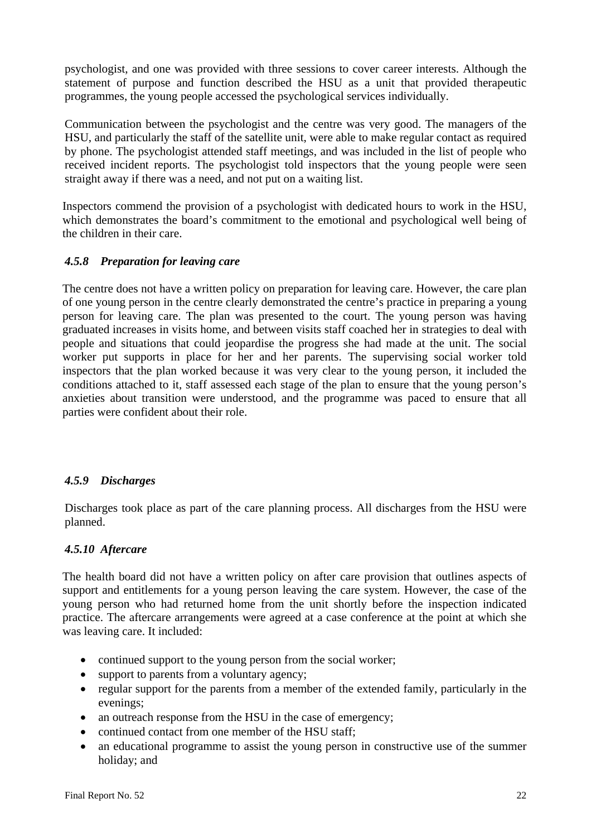psychologist, and one was provided with three sessions to cover career interests. Although the statement of purpose and function described the HSU as a unit that provided therapeutic programmes, the young people accessed the psychological services individually.

Communication between the psychologist and the centre was very good. The managers of the HSU, and particularly the staff of the satellite unit, were able to make regular contact as required by phone. The psychologist attended staff meetings, and was included in the list of people who received incident reports. The psychologist told inspectors that the young people were seen straight away if there was a need, and not put on a waiting list.

Inspectors commend the provision of a psychologist with dedicated hours to work in the HSU, which demonstrates the board's commitment to the emotional and psychological well being of the children in their care.

# *4.5.8 Preparation for leaving care*

The centre does not have a written policy on preparation for leaving care. However, the care plan of one young person in the centre clearly demonstrated the centre's practice in preparing a young person for leaving care. The plan was presented to the court. The young person was having graduated increases in visits home, and between visits staff coached her in strategies to deal with people and situations that could jeopardise the progress she had made at the unit. The social worker put supports in place for her and her parents. The supervising social worker told inspectors that the plan worked because it was very clear to the young person, it included the conditions attached to it, staff assessed each stage of the plan to ensure that the young person's anxieties about transition were understood, and the programme was paced to ensure that all parties were confident about their role.

# *4.5.9 Discharges*

Discharges took place as part of the care planning process. All discharges from the HSU were planned.

# *4.5.10 Aftercare*

The health board did not have a written policy on after care provision that outlines aspects of support and entitlements for a young person leaving the care system. However, the case of the young person who had returned home from the unit shortly before the inspection indicated practice. The aftercare arrangements were agreed at a case conference at the point at which she was leaving care. It included:

- continued support to the young person from the social worker;
- support to parents from a voluntary agency;
- regular support for the parents from a member of the extended family, particularly in the evenings;
- an outreach response from the HSU in the case of emergency;
- continued contact from one member of the HSU staff;
- an educational programme to assist the young person in constructive use of the summer holiday; and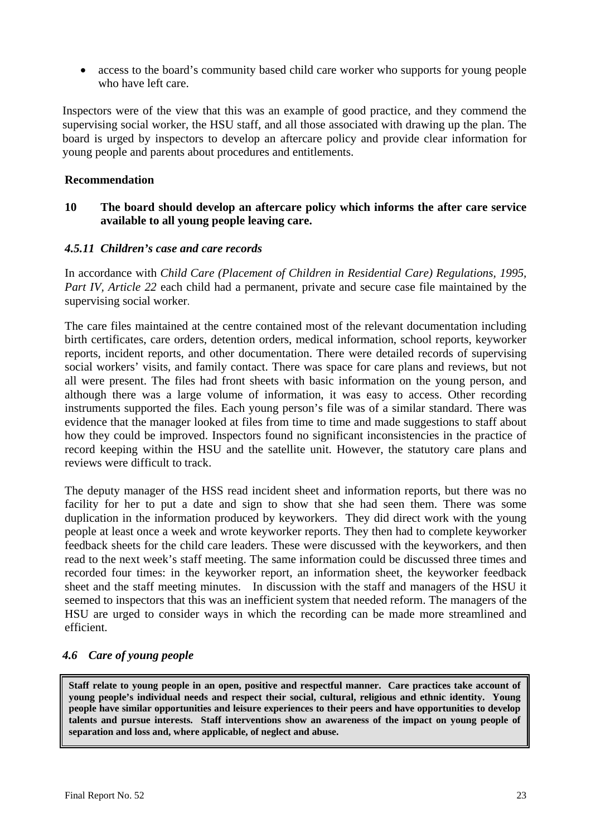• access to the board's community based child care worker who supports for young people who have left care.

Inspectors were of the view that this was an example of good practice, and they commend the supervising social worker, the HSU staff, and all those associated with drawing up the plan. The board is urged by inspectors to develop an aftercare policy and provide clear information for young people and parents about procedures and entitlements.

#### **Recommendation**

#### **10 The board should develop an aftercare policy which informs the after care service available to all young people leaving care.**

#### *4.5.11 Children's case and care records*

In accordance with *Child Care (Placement of Children in Residential Care) Regulations, 1995, Part IV, Article 22* each child had a permanent, private and secure case file maintained by the supervising social worker.

The care files maintained at the centre contained most of the relevant documentation including birth certificates, care orders, detention orders, medical information, school reports, keyworker reports, incident reports, and other documentation. There were detailed records of supervising social workers' visits, and family contact. There was space for care plans and reviews, but not all were present. The files had front sheets with basic information on the young person, and although there was a large volume of information, it was easy to access. Other recording instruments supported the files. Each young person's file was of a similar standard. There was evidence that the manager looked at files from time to time and made suggestions to staff about how they could be improved. Inspectors found no significant inconsistencies in the practice of record keeping within the HSU and the satellite unit. However, the statutory care plans and reviews were difficult to track.

The deputy manager of the HSS read incident sheet and information reports, but there was no facility for her to put a date and sign to show that she had seen them. There was some duplication in the information produced by keyworkers. They did direct work with the young people at least once a week and wrote keyworker reports. They then had to complete keyworker feedback sheets for the child care leaders. These were discussed with the keyworkers, and then read to the next week's staff meeting. The same information could be discussed three times and recorded four times: in the keyworker report, an information sheet, the keyworker feedback sheet and the staff meeting minutes. In discussion with the staff and managers of the HSU it seemed to inspectors that this was an inefficient system that needed reform. The managers of the HSU are urged to consider ways in which the recording can be made more streamlined and efficient.

# *4.6 Care of young people*

**Staff relate to young people in an open, positive and respectful manner. Care practices take account of young people's individual needs and respect their social, cultural, religious and ethnic identity. Young people have similar opportunities and leisure experiences to their peers and have opportunities to develop talents and pursue interests. Staff interventions show an awareness of the impact on young people of separation and loss and, where applicable, of neglect and abuse.**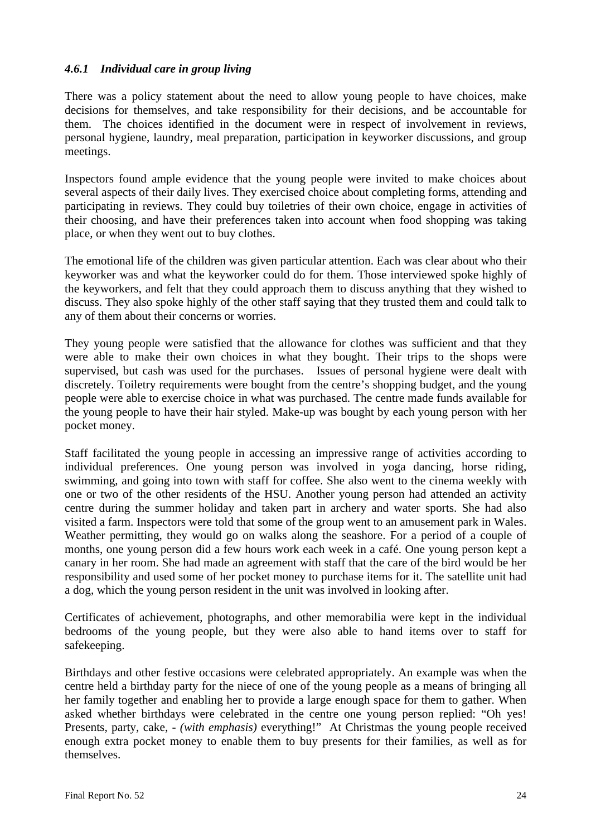#### *4.6.1 Individual care in group living*

There was a policy statement about the need to allow young people to have choices, make decisions for themselves, and take responsibility for their decisions, and be accountable for them. The choices identified in the document were in respect of involvement in reviews, personal hygiene, laundry, meal preparation, participation in keyworker discussions, and group meetings.

Inspectors found ample evidence that the young people were invited to make choices about several aspects of their daily lives. They exercised choice about completing forms, attending and participating in reviews. They could buy toiletries of their own choice, engage in activities of their choosing, and have their preferences taken into account when food shopping was taking place, or when they went out to buy clothes.

The emotional life of the children was given particular attention. Each was clear about who their keyworker was and what the keyworker could do for them. Those interviewed spoke highly of the keyworkers, and felt that they could approach them to discuss anything that they wished to discuss. They also spoke highly of the other staff saying that they trusted them and could talk to any of them about their concerns or worries.

They young people were satisfied that the allowance for clothes was sufficient and that they were able to make their own choices in what they bought. Their trips to the shops were supervised, but cash was used for the purchases. Issues of personal hygiene were dealt with discretely. Toiletry requirements were bought from the centre's shopping budget, and the young people were able to exercise choice in what was purchased. The centre made funds available for the young people to have their hair styled. Make-up was bought by each young person with her pocket money.

Staff facilitated the young people in accessing an impressive range of activities according to individual preferences. One young person was involved in yoga dancing, horse riding, swimming, and going into town with staff for coffee. She also went to the cinema weekly with one or two of the other residents of the HSU. Another young person had attended an activity centre during the summer holiday and taken part in archery and water sports. She had also visited a farm. Inspectors were told that some of the group went to an amusement park in Wales. Weather permitting, they would go on walks along the seashore. For a period of a couple of months, one young person did a few hours work each week in a café. One young person kept a canary in her room. She had made an agreement with staff that the care of the bird would be her responsibility and used some of her pocket money to purchase items for it. The satellite unit had a dog, which the young person resident in the unit was involved in looking after.

Certificates of achievement, photographs, and other memorabilia were kept in the individual bedrooms of the young people, but they were also able to hand items over to staff for safekeeping.

Birthdays and other festive occasions were celebrated appropriately. An example was when the centre held a birthday party for the niece of one of the young people as a means of bringing all her family together and enabling her to provide a large enough space for them to gather. When asked whether birthdays were celebrated in the centre one young person replied: "Oh yes! Presents, party, cake, - *(with emphasis)* everything!" At Christmas the young people received enough extra pocket money to enable them to buy presents for their families, as well as for themselves.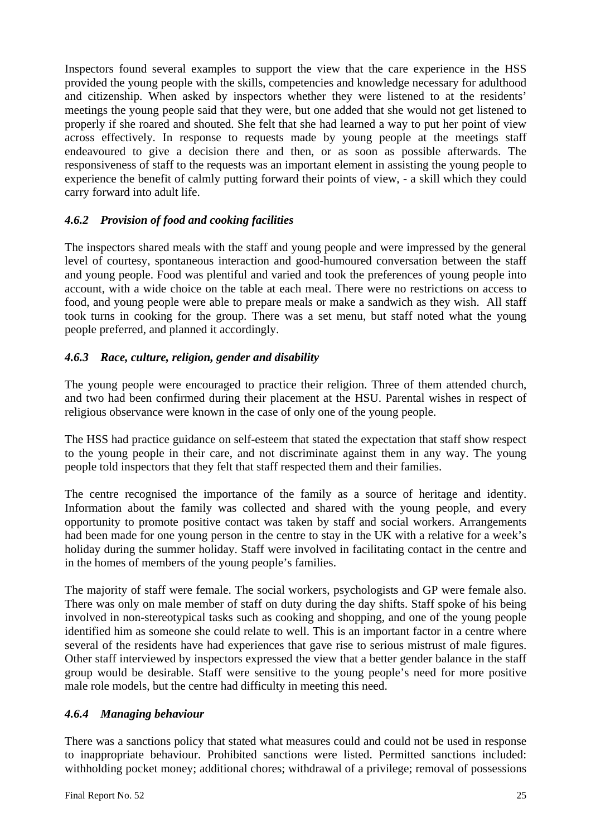Inspectors found several examples to support the view that the care experience in the HSS provided the young people with the skills, competencies and knowledge necessary for adulthood and citizenship. When asked by inspectors whether they were listened to at the residents' meetings the young people said that they were, but one added that she would not get listened to properly if she roared and shouted. She felt that she had learned a way to put her point of view across effectively. In response to requests made by young people at the meetings staff endeavoured to give a decision there and then, or as soon as possible afterwards. The responsiveness of staff to the requests was an important element in assisting the young people to experience the benefit of calmly putting forward their points of view, - a skill which they could carry forward into adult life.

# *4.6.2 Provision of food and cooking facilities*

The inspectors shared meals with the staff and young people and were impressed by the general level of courtesy, spontaneous interaction and good-humoured conversation between the staff and young people. Food was plentiful and varied and took the preferences of young people into account, with a wide choice on the table at each meal. There were no restrictions on access to food, and young people were able to prepare meals or make a sandwich as they wish. All staff took turns in cooking for the group. There was a set menu, but staff noted what the young people preferred, and planned it accordingly.

# *4.6.3 Race, culture, religion, gender and disability*

The young people were encouraged to practice their religion. Three of them attended church, and two had been confirmed during their placement at the HSU. Parental wishes in respect of religious observance were known in the case of only one of the young people.

The HSS had practice guidance on self-esteem that stated the expectation that staff show respect to the young people in their care, and not discriminate against them in any way. The young people told inspectors that they felt that staff respected them and their families.

The centre recognised the importance of the family as a source of heritage and identity. Information about the family was collected and shared with the young people, and every opportunity to promote positive contact was taken by staff and social workers. Arrangements had been made for one young person in the centre to stay in the UK with a relative for a week's holiday during the summer holiday. Staff were involved in facilitating contact in the centre and in the homes of members of the young people's families.

The majority of staff were female. The social workers, psychologists and GP were female also. There was only on male member of staff on duty during the day shifts. Staff spoke of his being involved in non-stereotypical tasks such as cooking and shopping, and one of the young people identified him as someone she could relate to well. This is an important factor in a centre where several of the residents have had experiences that gave rise to serious mistrust of male figures. Other staff interviewed by inspectors expressed the view that a better gender balance in the staff group would be desirable. Staff were sensitive to the young people's need for more positive male role models, but the centre had difficulty in meeting this need.

# *4.6.4 Managing behaviour*

There was a sanctions policy that stated what measures could and could not be used in response to inappropriate behaviour. Prohibited sanctions were listed. Permitted sanctions included: withholding pocket money; additional chores; withdrawal of a privilege; removal of possessions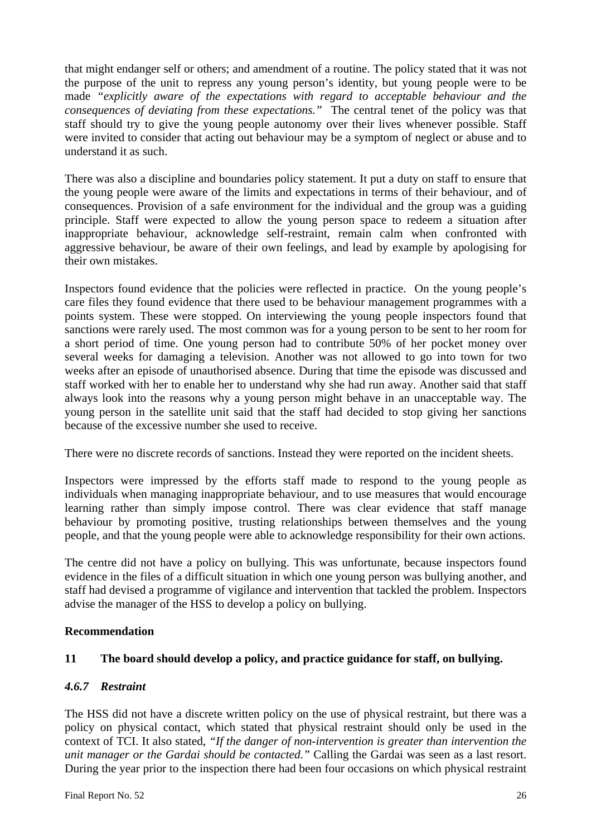that might endanger self or others; and amendment of a routine. The policy stated that it was not the purpose of the unit to repress any young person's identity, but young people were to be made *"explicitly aware of the expectations with regard to acceptable behaviour and the consequences of deviating from these expectations."* The central tenet of the policy was that staff should try to give the young people autonomy over their lives whenever possible. Staff were invited to consider that acting out behaviour may be a symptom of neglect or abuse and to understand it as such.

There was also a discipline and boundaries policy statement. It put a duty on staff to ensure that the young people were aware of the limits and expectations in terms of their behaviour, and of consequences. Provision of a safe environment for the individual and the group was a guiding principle. Staff were expected to allow the young person space to redeem a situation after inappropriate behaviour, acknowledge self-restraint, remain calm when confronted with aggressive behaviour, be aware of their own feelings, and lead by example by apologising for their own mistakes.

Inspectors found evidence that the policies were reflected in practice. On the young people's care files they found evidence that there used to be behaviour management programmes with a points system. These were stopped. On interviewing the young people inspectors found that sanctions were rarely used. The most common was for a young person to be sent to her room for a short period of time. One young person had to contribute 50% of her pocket money over several weeks for damaging a television. Another was not allowed to go into town for two weeks after an episode of unauthorised absence. During that time the episode was discussed and staff worked with her to enable her to understand why she had run away. Another said that staff always look into the reasons why a young person might behave in an unacceptable way. The young person in the satellite unit said that the staff had decided to stop giving her sanctions because of the excessive number she used to receive.

There were no discrete records of sanctions. Instead they were reported on the incident sheets.

Inspectors were impressed by the efforts staff made to respond to the young people as individuals when managing inappropriate behaviour, and to use measures that would encourage learning rather than simply impose control. There was clear evidence that staff manage behaviour by promoting positive, trusting relationships between themselves and the young people, and that the young people were able to acknowledge responsibility for their own actions.

The centre did not have a policy on bullying. This was unfortunate, because inspectors found evidence in the files of a difficult situation in which one young person was bullying another, and staff had devised a programme of vigilance and intervention that tackled the problem. Inspectors advise the manager of the HSS to develop a policy on bullying.

# **Recommendation**

# **11 The board should develop a policy, and practice guidance for staff, on bullying.**

# *4.6.7 Restraint*

The HSS did not have a discrete written policy on the use of physical restraint, but there was a policy on physical contact, which stated that physical restraint should only be used in the context of TCI. It also stated, *"If the danger of non-intervention is greater than intervention the unit manager or the Gardai should be contacted."* Calling the Gardai was seen as a last resort. During the year prior to the inspection there had been four occasions on which physical restraint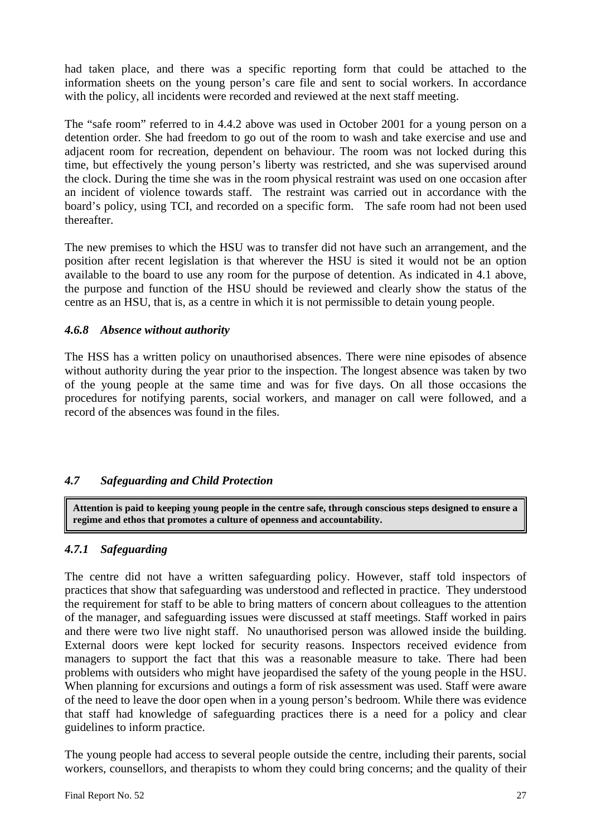had taken place, and there was a specific reporting form that could be attached to the information sheets on the young person's care file and sent to social workers. In accordance with the policy, all incidents were recorded and reviewed at the next staff meeting.

The "safe room" referred to in 4.4.2 above was used in October 2001 for a young person on a detention order. She had freedom to go out of the room to wash and take exercise and use and adjacent room for recreation, dependent on behaviour. The room was not locked during this time, but effectively the young person's liberty was restricted, and she was supervised around the clock. During the time she was in the room physical restraint was used on one occasion after an incident of violence towards staff. The restraint was carried out in accordance with the board's policy, using TCI, and recorded on a specific form. The safe room had not been used thereafter.

The new premises to which the HSU was to transfer did not have such an arrangement, and the position after recent legislation is that wherever the HSU is sited it would not be an option available to the board to use any room for the purpose of detention. As indicated in 4.1 above, the purpose and function of the HSU should be reviewed and clearly show the status of the centre as an HSU, that is, as a centre in which it is not permissible to detain young people.

#### *4.6.8 Absence without authority*

The HSS has a written policy on unauthorised absences. There were nine episodes of absence without authority during the year prior to the inspection. The longest absence was taken by two of the young people at the same time and was for five days. On all those occasions the procedures for notifying parents, social workers, and manager on call were followed, and a record of the absences was found in the files.

# *4.7 Safeguarding and Child Protection*

**Attention is paid to keeping young people in the centre safe, through conscious steps designed to ensure a regime and ethos that promotes a culture of openness and accountability.** 

# *4.7.1 Safeguarding*

The centre did not have a written safeguarding policy. However, staff told inspectors of practices that show that safeguarding was understood and reflected in practice. They understood the requirement for staff to be able to bring matters of concern about colleagues to the attention of the manager, and safeguarding issues were discussed at staff meetings. Staff worked in pairs and there were two live night staff. No unauthorised person was allowed inside the building. External doors were kept locked for security reasons. Inspectors received evidence from managers to support the fact that this was a reasonable measure to take. There had been problems with outsiders who might have jeopardised the safety of the young people in the HSU. When planning for excursions and outings a form of risk assessment was used. Staff were aware of the need to leave the door open when in a young person's bedroom. While there was evidence that staff had knowledge of safeguarding practices there is a need for a policy and clear guidelines to inform practice.

The young people had access to several people outside the centre, including their parents, social workers, counsellors, and therapists to whom they could bring concerns; and the quality of their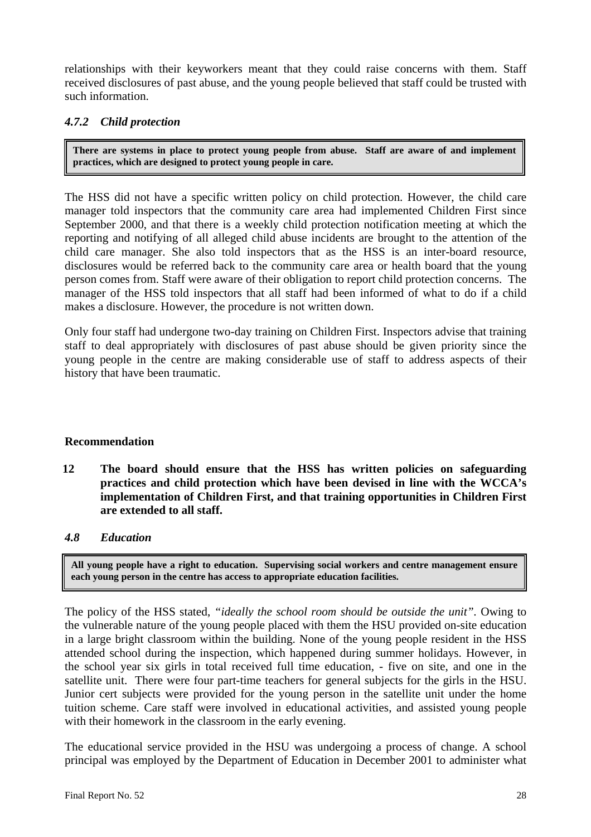relationships with their keyworkers meant that they could raise concerns with them. Staff received disclosures of past abuse, and the young people believed that staff could be trusted with such information.

# *4.7.2 Child protection*

**There are systems in place to protect young people from abuse. Staff are aware of and implement practices, which are designed to protect young people in care.** 

The HSS did not have a specific written policy on child protection. However, the child care manager told inspectors that the community care area had implemented Children First since September 2000, and that there is a weekly child protection notification meeting at which the reporting and notifying of all alleged child abuse incidents are brought to the attention of the child care manager. She also told inspectors that as the HSS is an inter-board resource, disclosures would be referred back to the community care area or health board that the young person comes from. Staff were aware of their obligation to report child protection concerns. The manager of the HSS told inspectors that all staff had been informed of what to do if a child makes a disclosure. However, the procedure is not written down.

Only four staff had undergone two-day training on Children First. Inspectors advise that training staff to deal appropriately with disclosures of past abuse should be given priority since the young people in the centre are making considerable use of staff to address aspects of their history that have been traumatic.

#### **Recommendation**

- **12 The board should ensure that the HSS has written policies on safeguarding practices and child protection which have been devised in line with the WCCA's implementation of Children First, and that training opportunities in Children First are extended to all staff.**
- *4.8 Education*

**All young people have a right to education. Supervising social workers and centre management ensure each young person in the centre has access to appropriate education facilities.**

The policy of the HSS stated, *"ideally the school room should be outside the unit".* Owing to the vulnerable nature of the young people placed with them the HSU provided on-site education in a large bright classroom within the building. None of the young people resident in the HSS attended school during the inspection, which happened during summer holidays. However, in the school year six girls in total received full time education, - five on site, and one in the satellite unit. There were four part-time teachers for general subjects for the girls in the HSU. Junior cert subjects were provided for the young person in the satellite unit under the home tuition scheme. Care staff were involved in educational activities, and assisted young people with their homework in the classroom in the early evening.

The educational service provided in the HSU was undergoing a process of change. A school principal was employed by the Department of Education in December 2001 to administer what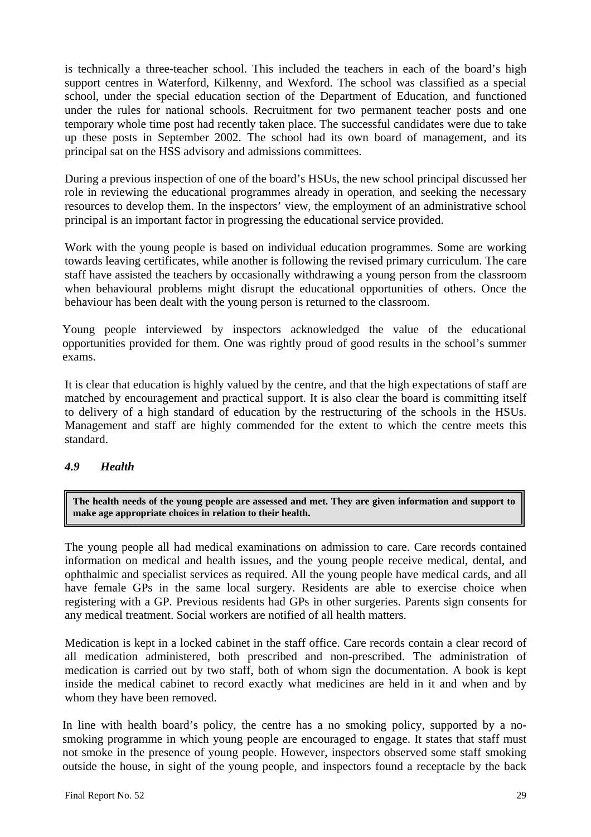is technically a three-teacher school. This included the teachers in each of the board's high support centres in Waterford, Kilkenny, and Wexford. The school was classified as a special school, under the special education section of the Department of Education, and functioned under the rules for national schools. Recruitment for two permanent teacher posts and one temporary whole time post had recently taken place. The successful candidates were due to take up these posts in September 2002. The school had its own board of management, and its principal sat on the HSS advisory and admissions committees.

During a previous inspection of one of the board's HSUs, the new school principal discussed her role in reviewing the educational programmes already in operation, and seeking the necessary resources to develop them. In the inspectors' view, the employment of an administrative school principal is an important factor in progressing the educational service provided.

Work with the young people is based on individual education programmes. Some are working towards leaving certificates, while another is following the revised primary curriculum. The care staff have assisted the teachers by occasionally withdrawing a young person from the classroom when behavioural problems might disrupt the educational opportunities of others. Once the behaviour has been dealt with the young person is returned to the classroom.

Young people interviewed by inspectors acknowledged the value of the educational opportunities provided for them. One was rightly proud of good results in the school's summer exams.

It is clear that education is highly valued by the centre, and that the high expectations of staff are matched by encouragement and practical support. It is also clear the board is committing itself to delivery of a high standard of education by the restructuring of the schools in the HSUs. Management and staff are highly commended for the extent to which the centre meets this standard.

# *4.9 Health*

**The health needs of the young people are assessed and met. They are given information and support to make age appropriate choices in relation to their health.** 

The young people all had medical examinations on admission to care. Care records contained information on medical and health issues, and the young people receive medical, dental, and ophthalmic and specialist services as required. All the young people have medical cards, and all have female GPs in the same local surgery. Residents are able to exercise choice when registering with a GP. Previous residents had GPs in other surgeries. Parents sign consents for any medical treatment. Social workers are notified of all health matters.

Medication is kept in a locked cabinet in the staff office. Care records contain a clear record of all medication administered, both prescribed and non-prescribed. The administration of medication is carried out by two staff, both of whom sign the documentation. A book is kept inside the medical cabinet to record exactly what medicines are held in it and when and by whom they have been removed.

In line with health board's policy, the centre has a no smoking policy, supported by a nosmoking programme in which young people are encouraged to engage. It states that staff must not smoke in the presence of young people. However, inspectors observed some staff smoking outside the house, in sight of the young people, and inspectors found a receptacle by the back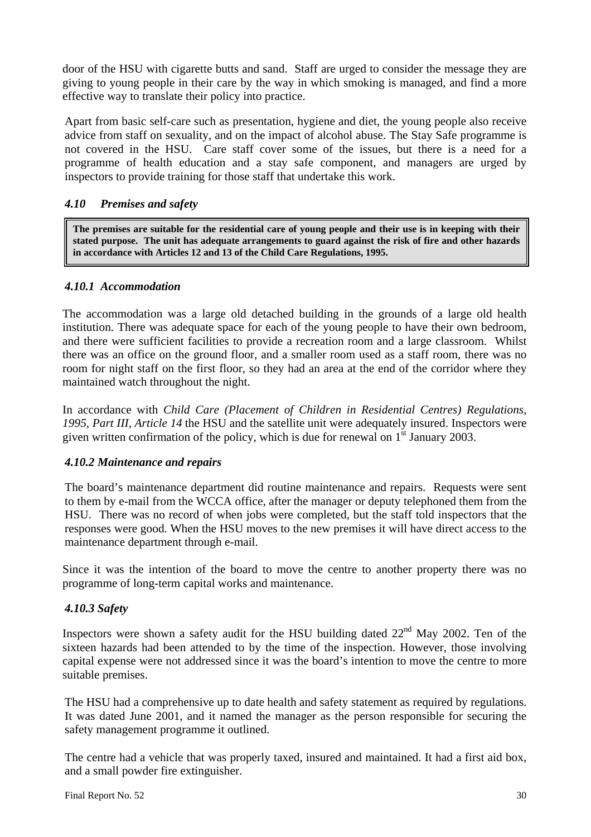door of the HSU with cigarette butts and sand. Staff are urged to consider the message they are giving to young people in their care by the way in which smoking is managed, and find a more effective way to translate their policy into practice.

Apart from basic self-care such as presentation, hygiene and diet, the young people also receive advice from staff on sexuality, and on the impact of alcohol abuse. The Stay Safe programme is not covered in the HSU. Care staff cover some of the issues, but there is a need for a programme of health education and a stay safe component, and managers are urged by inspectors to provide training for those staff that undertake this work.

# *4.10 Premises and safety*

**The premises are suitable for the residential care of young people and their use is in keeping with their stated purpose. The unit has adequate arrangements to guard against the risk of fire and other hazards in accordance with Articles 12 and 13 of the Child Care Regulations, 1995.** 

# *4.10.1 Accommodation*

The accommodation was a large old detached building in the grounds of a large old health institution. There was adequate space for each of the young people to have their own bedroom, and there were sufficient facilities to provide a recreation room and a large classroom. Whilst there was an office on the ground floor, and a smaller room used as a staff room, there was no room for night staff on the first floor, so they had an area at the end of the corridor where they maintained watch throughout the night.

In accordance with *Child Care (Placement of Children in Residential Centres) Regulations, 1995, Part III, Article 14* the HSU and the satellite unit were adequately insured. Inspectors were given written confirmation of the policy, which is due for renewal on  $1<sup>st</sup>$  January 2003.

# *4.10.2 Maintenance and repairs*

The board's maintenance department did routine maintenance and repairs. Requests were sent to them by e-mail from the WCCA office, after the manager or deputy telephoned them from the HSU. There was no record of when jobs were completed, but the staff told inspectors that the responses were good. When the HSU moves to the new premises it will have direct access to the maintenance department through e-mail.

Since it was the intention of the board to move the centre to another property there was no programme of long-term capital works and maintenance.

# *4.10.3 Safety*

Inspectors were shown a safety audit for the HSU building dated 22<sup>nd</sup> May 2002. Ten of the sixteen hazards had been attended to by the time of the inspection. However, those involving capital expense were not addressed since it was the board's intention to move the centre to more suitable premises.

The HSU had a comprehensive up to date health and safety statement as required by regulations. It was dated June 2001, and it named the manager as the person responsible for securing the safety management programme it outlined.

The centre had a vehicle that was properly taxed, insured and maintained. It had a first aid box, and a small powder fire extinguisher.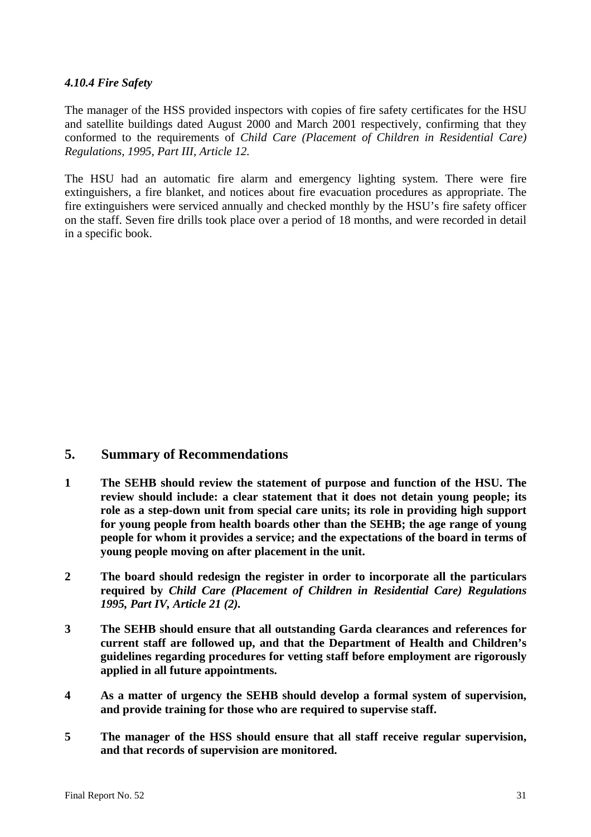#### *4.10.4 Fire Safety*

The manager of the HSS provided inspectors with copies of fire safety certificates for the HSU and satellite buildings dated August 2000 and March 2001 respectively, confirming that they conformed to the requirements of *Child Care (Placement of Children in Residential Care) Regulations, 1995, Part III, Article 12.* 

The HSU had an automatic fire alarm and emergency lighting system. There were fire extinguishers, a fire blanket, and notices about fire evacuation procedures as appropriate. The fire extinguishers were serviced annually and checked monthly by the HSU's fire safety officer on the staff. Seven fire drills took place over a period of 18 months, and were recorded in detail in a specific book.

# **5. Summary of Recommendations**

- **1 The SEHB should review the statement of purpose and function of the HSU. The review should include: a clear statement that it does not detain young people; its role as a step-down unit from special care units; its role in providing high support for young people from health boards other than the SEHB; the age range of young people for whom it provides a service; and the expectations of the board in terms of young people moving on after placement in the unit.**
- **2 The board should redesign the register in order to incorporate all the particulars required by** *Child Care (Placement of Children in Residential Care) Regulations 1995, Part IV, Article 21 (2).*
- **3 The SEHB should ensure that all outstanding Garda clearances and references for current staff are followed up, and that the Department of Health and Children's guidelines regarding procedures for vetting staff before employment are rigorously applied in all future appointments.**
- **4 As a matter of urgency the SEHB should develop a formal system of supervision, and provide training for those who are required to supervise staff.**
- **5 The manager of the HSS should ensure that all staff receive regular supervision, and that records of supervision are monitored.**